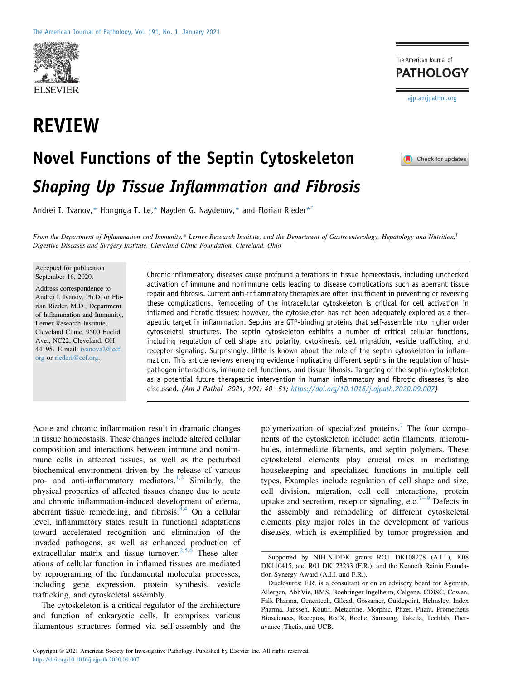

## REVIEW



 $\blacksquare$  Check for updates

# Novel Functions of the Septin Cytoskeleton Shaping Up Tissue Inflammation and Fibrosis

Andrei I. Ivanov,\* Hongnga T. Le,\* Nayden G. Naydenov,\* and Florian Rieder\*<sup>†</sup>

From the Department of Inflammation and Immunity,\* Lerner Research Institute, and the Department of Gastroenterology, Hepatology and Nutrition, $^{\dagger}$ Digestive Diseases and Surgery Institute, Cleveland Clinic Foundation, Cleveland, Ohio

Accepted for publication September 16, 2020.

Address correspondence to Andrei I. Ivanov, Ph.D. or Florian Rieder, M.D., Department of Inflammation and Immunity, Lerner Research Institute, Cleveland Clinic, 9500 Euclid Ave., NC22, Cleveland, OH 44195. E-mail: [ivanova2@ccf.](mailto:ivanova2@ccf.org) [org](mailto:ivanova2@ccf.org) or [riederf@ccf.org](mailto:riederf@ccf.org).

Chronic inflammatory diseases cause profound alterations in tissue homeostasis, including unchecked activation of immune and nonimmune cells leading to disease complications such as aberrant tissue repair and fibrosis. Current anti-inflammatory therapies are often insufficient in preventing or reversing these complications. Remodeling of the intracellular cytoskeleton is critical for cell activation in inflamed and fibrotic tissues; however, the cytoskeleton has not been adequately explored as a therapeutic target in inflammation. Septins are GTP-binding proteins that self-assemble into higher order cytoskeletal structures. The septin cytoskeleton exhibits a number of critical cellular functions, including regulation of cell shape and polarity, cytokinesis, cell migration, vesicle trafficking, and receptor signaling. Surprisingly, little is known about the role of the septin cytoskeleton in inflammation. This article reviews emerging evidence implicating different septins in the regulation of hostpathogen interactions, immune cell functions, and tissue fibrosis. Targeting of the septin cytoskeleton as a potential future therapeutic intervention in human inflammatory and fibrotic diseases is also discussed. (Am J Pathol 2021, 191: 40-51; [https://doi.org/10.1016/j.ajpath.2020.09.007\)](https://doi.org/10.1016/j.ajpath.2020.09.007)

Acute and chronic inflammation result in dramatic changes in tissue homeostasis. These changes include altered cellular composition and interactions between immune and nonimmune cells in affected tissues, as well as the perturbed biochemical environment driven by the release of various pro- and anti-inflammatory mediators.<sup>[1](#page-8-0),[2](#page-8-1)</sup> Similarly, the physical properties of affected tissues change due to acute and chronic inflammation-induced development of edema, aberrant tissue remodeling, and fibrosis.<sup>[3](#page-8-2),[4](#page-8-3)</sup> On a cellular level, inflammatory states result in functional adaptations toward accelerated recognition and elimination of the invaded pathogens, as well as enhanced production of extracellular matrix and tissue turnover.<sup>[2,](#page-8-1)[5](#page-8-4)[,6](#page-8-5)</sup> These alterations of cellular function in inflamed tissues are mediated by reprograming of the fundamental molecular processes, including gene expression, protein synthesis, vesicle trafficking, and cytoskeletal assembly.

The cytoskeleton is a critical regulator of the architecture and function of eukaryotic cells. It comprises various filamentous structures formed via self-assembly and the polymerization of specialized proteins.[7](#page-8-6) The four components of the cytoskeleton include: actin filaments, microtubules, intermediate filaments, and septin polymers. These cytoskeletal elements play crucial roles in mediating housekeeping and specialized functions in multiple cell types. Examples include regulation of cell shape and size, cell division, migration, cell-cell interactions, protein uptake and secretion, receptor signaling, etc.<sup>[7](#page-8-6)-[9](#page-8-6)</sup> Defects in the assembly and remodeling of different cytoskeletal elements play major roles in the development of various diseases, which is exemplified by tumor progression and

Supported by NIH-NIDDK grants RO1 DK108278 (A.I.I.), K08 DK110415, and R01 DK123233 (F.R.); and the Kenneth Rainin Foundation Synergy Award (A.I.I. and F.R.).

Disclosures: F.R. is a consultant or on an advisory board for Agomab, Allergan, AbbVie, BMS, Boehringer Ingelheim, Celgene, CDISC, Cowen, Falk Pharma, Genentech, Gilead, Gossamer, Guidepoint, Helmsley, Index Pharma, Janssen, Koutif, Metacrine, Morphic, Pfizer, Pliant, Prometheus Biosciences, Receptos, RedX, Roche, Samsung, Takeda, Techlab, Theravance, Thetis, and UCB.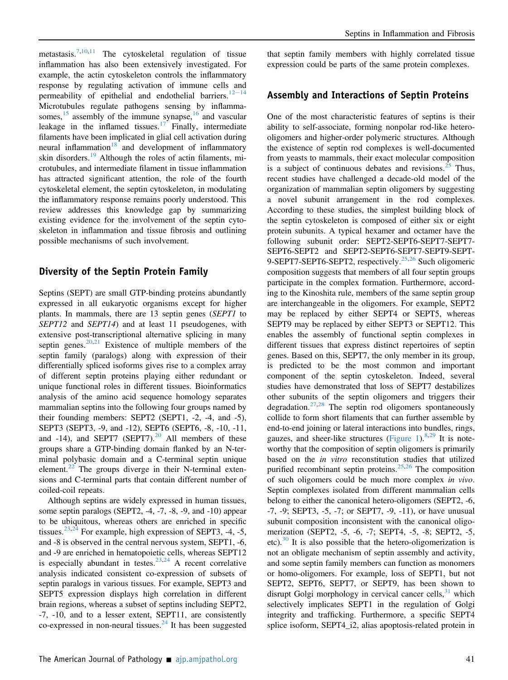metastasis.<sup>[7,](#page-8-6)[10,](#page-8-7)[11](#page-8-8)</sup> The cytoskeletal regulation of tissue inflammation has also been extensively investigated. For example, the actin cytoskeleton controls the inflammatory response by regulating activation of immune cells and permeability of epithelial and endothelial barriers.<sup>[12](#page-8-9)-[14](#page-8-9)</sup> Microtubules regulate pathogens sensing by inflammasomes,  $15$  assembly of the immune synapse,  $16$  and vascular leakage in the inflamed tissues.<sup>[17](#page-8-12)</sup> Finally, intermediate filaments have been implicated in glial cell activation during neural inflammation<sup>[18](#page-8-13)</sup> and development of inflammatory skin disorders.<sup>[19](#page-8-14)</sup> Although the roles of actin filaments, microtubules, and intermediate filament in tissue inflammation has attracted significant attention, the role of the fourth cytoskeletal element, the septin cytoskeleton, in modulating the inflammatory response remains poorly understood. This review addresses this knowledge gap by summarizing existing evidence for the involvement of the septin cytoskeleton in inflammation and tissue fibrosis and outlining possible mechanisms of such involvement.

## Diversity of the Septin Protein Family

Septins (SEPT) are small GTP-binding proteins abundantly expressed in all eukaryotic organisms except for higher plants. In mammals, there are 13 septin genes (SEPT1 to SEPT12 and SEPT14) and at least 11 pseudogenes, with extensive post-transcriptional alternative splicing in many septin genes. $20,21$  $20,21$  Existence of multiple members of the septin family (paralogs) along with expression of their differentially spliced isoforms gives rise to a complex array of different septin proteins playing either redundant or unique functional roles in different tissues. Bioinformatics analysis of the amino acid sequence homology separates mammalian septins into the following four groups named by their founding members: SEPT2 (SEPT1, -2, -4, and -5), SEPT3 (SEPT3, -9, and -12), SEPT6 (SEPT6, -8, -10, -11, and -14), and SEPT7 (SEPT7).<sup>[20](#page-8-15)</sup> All members of these groups share a GTP-binding domain flanked by an N-terminal polybasic domain and a C-terminal septin unique element.<sup>[22](#page-8-17)</sup> The groups diverge in their N-terminal extensions and C-terminal parts that contain different number of coiled-coil repeats.

Although septins are widely expressed in human tissues, some septin paralogs (SEPT2, -4, -7, -8, -9, and -10) appear to be ubiquitous, whereas others are enriched in specific tissues.<sup>[23](#page-8-18),[24](#page-8-19)</sup> For example, high expression of SEPT3, -4, -5, and -8 is observed in the central nervous system, SEPT1, -6, and -9 are enriched in hematopoietic cells, whereas SEPT12 is especially abundant in testes.<sup>[23,](#page-8-18)[24](#page-8-19)</sup> A recent correlative analysis indicated consistent co-expression of subsets of septin paralogs in various tissues. For example, SEPT3 and SEPT5 expression displays high correlation in different brain regions, whereas a subset of septins including SEPT2, -7, -10, and to a lesser extent, SEPT11, are consistently co-expressed in non-neural tissues. $^{24}$  $^{24}$  $^{24}$  It has been suggested

that septin family members with highly correlated tissue expression could be parts of the same protein complexes.

## Assembly and Interactions of Septin Proteins

One of the most characteristic features of septins is their ability to self-associate, forming nonpolar rod-like heterooligomers and higher-order polymeric structures. Although the existence of septin rod complexes is well-documented from yeasts to mammals, their exact molecular composition is a subject of continuous debates and revisions. $^{25}$  $^{25}$  $^{25}$  Thus, recent studies have challenged a decade-old model of the organization of mammalian septin oligomers by suggesting a novel subunit arrangement in the rod complexes. According to these studies, the simplest building block of the septin cytoskeleton is composed of either six or eight protein subunits. A typical hexamer and octamer have the following subunit order: SEPT2-SEPT6-SEPT7-SEPT7-SEPT6-SEPT2 and SEPT2-SEPT6-SEPT7-SEPT9-SEPT-9-SEPT7-SEPT6-SEPT2, respectively.<sup>25,[26](#page-8-21)</sup> Such oligomeric composition suggests that members of all four septin groups participate in the complex formation. Furthermore, according to the Kinoshita rule, members of the same septin group are interchangeable in the oligomers. For example, SEPT2 may be replaced by either SEPT4 or SEPT5, whereas SEPT9 may be replaced by either SEPT3 or SEPT12. This enables the assembly of functional septin complexes in different tissues that express distinct repertoires of septin genes. Based on this, SEPT7, the only member in its group, is predicted to be the most common and important component of the septin cytoskeleton. Indeed, several studies have demonstrated that loss of SEPT7 destabilizes other subunits of the septin oligomers and triggers their degradation.<sup>[27](#page-8-22)[,28](#page-8-23)</sup> The septin rod oligomers spontaneously collide to form short filaments that can further assemble by end-to-end joining or lateral interactions into bundles, rings, gauzes, and sheer-like structures [\(Figure 1](#page-2-0)).  $8,29$  $8,29$  It is noteworthy that the composition of septin oligomers is primarily based on the *in vitro* reconstitution studies that utilized purified recombinant septin proteins.<sup>[25](#page-8-20)[,26](#page-8-21)</sup> The composition of such oligomers could be much more complex in vivo. Septin complexes isolated from different mammalian cells belong to either the canonical hetero-oligomers (SEPT2, -6, -7, -9; SEPT3, -5, -7; or SEPT7, -9, -11), or have unusual subunit composition inconsistent with the canonical oligomerization (SEPT2, -5, -6, -7; SEPT4, -5, -8; SEPT2, -5, etc).<sup>[30](#page-8-26)</sup> It is also possible that the hetero-oligomerization is not an obligate mechanism of septin assembly and activity, and some septin family members can function as monomers or homo-oligomers. For example, loss of SEPT1, but not SEPT2, SEPT6, SEPT7, or SEPT9, has been shown to disrupt Golgi morphology in cervical cancer cells,  $31$  which selectively implicates SEPT1 in the regulation of Golgi integrity and trafficking. Furthermore, a specific SEPT4 splice isoform, SEPT4\_i2, alias apoptosis-related protein in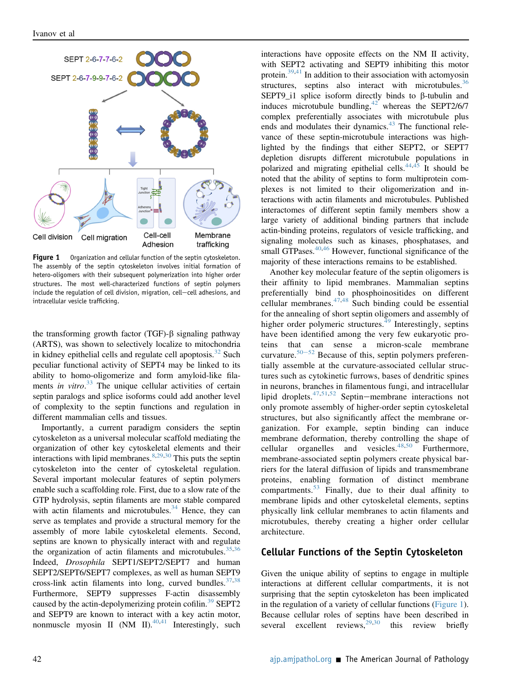<span id="page-2-0"></span>

Figure 1 Organization and cellular function of the septin cytoskeleton. The assembly of the septin cytoskeleton involves initial formation of hetero-oligomers with their subsequent polymerization into higher order structures. The most well-characterized functions of septin polymers include the regulation of cell division, migration, cell-cell adhesions, and intracellular vesicle trafficking.

the transforming growth factor (TGF)- $\beta$  signaling pathway (ARTS), was shown to selectively localize to mitochondria in kidney epithelial cells and regulate cell apoptosis. $32$  Such peculiar functional activity of SEPT4 may be linked to its ability to homo-oligomerize and form amyloid-like fila-ments in vitro.<sup>[33](#page-9-2)</sup> The unique cellular activities of certain septin paralogs and splice isoforms could add another level of complexity to the septin functions and regulation in different mammalian cells and tissues.

Importantly, a current paradigm considers the septin cytoskeleton as a universal molecular scaffold mediating the organization of other key cytoskeletal elements and their interactions with lipid membranes.  $8,29,30$  $8,29,30$  $8,29,30$  This puts the septin cytoskeleton into the center of cytoskeletal regulation. Several important molecular features of septin polymers enable such a scaffolding role. First, due to a slow rate of the GTP hydrolysis, septin filaments are more stable compared with actin filaments and microtubules. $34$  Hence, they can serve as templates and provide a structural memory for the assembly of more labile cytoskeletal elements. Second, septins are known to physically interact with and regulate the organization of actin filaments and microtubules.  $35,36$  $35,36$ Indeed, Drosophila SEPT1/SEPT2/SEPT7 and human SEPT2/SEPT6/SEPT7 complexes, as well as human SEPT9 cross-link actin filaments into long, curved bundles.  $37,38$  $37,38$ Furthermore, SEPT9 suppresses F-actin disassembly caused by the actin-depolymerizing protein cofilin.<sup>[39](#page-9-8)</sup> SEPT2 and SEPT9 are known to interact with a key actin motor, nonmuscle myosin II (NM II). $^{40,41}$  $^{40,41}$  $^{40,41}$  $^{40,41}$  Interestingly, such interactions have opposite effects on the NM II activity, with SEPT2 activating and SEPT9 inhibiting this motor protein. $39,41$  $39,41$  In addition to their association with actomyosin structures, septins also interact with microtubules.<sup>[36](#page-9-5)</sup> SEPT9\_i1 splice isoform directly binds to  $\beta$ -tubulin and induces microtubule bundling, $42$  whereas the SEPT2/6/7 complex preferentially associates with microtubule plus ends and modulates their dynamics.<sup>[43](#page-9-12)</sup> The functional relevance of these septin-microtubule interactions was highlighted by the findings that either SEPT2, or SEPT7 depletion disrupts different microtubule populations in polarized and migrating epithelial cells. $44,45$  $44,45$  It should be noted that the ability of septins to form multiprotein complexes is not limited to their oligomerization and interactions with actin filaments and microtubules. Published interactomes of different septin family members show a large variety of additional binding partners that include actin-binding proteins, regulators of vesicle trafficking, and signaling molecules such as kinases, phosphatases, and small GTPases. $40,46$  $40,46$  However, functional significance of the majority of these interactions remains to be established.

Another key molecular feature of the septin oligomers is their affinity to lipid membranes. Mammalian septins preferentially bind to phosphoinositides on different cellular membranes. $47,48$  $47,48$  Such binding could be essential for the annealing of short septin oligomers and assembly of higher order polymeric structures.<sup>[49](#page-9-18)</sup> Interestingly, septins have been identified among the very few eukaryotic proteins that can sense a micron-scale membrane curvature.<sup>[50](#page-9-19)-[52](#page-9-19)</sup> Because of this, septin polymers preferentially assemble at the curvature-associated cellular structures such as cytokinetic furrows, bases of dendritic spines in neurons, branches in filamentous fungi, and intracellular lipid droplets. $47,51,52$  $47,51,52$  $47,51,52$  Septin-membrane interactions not only promote assembly of higher-order septin cytoskeletal structures, but also significantly affect the membrane organization. For example, septin binding can induce membrane deformation, thereby controlling the shape of cellular organelles and vesicles. $48,50$  $48,50$  Furthermore, membrane-associated septin polymers create physical barriers for the lateral diffusion of lipids and transmembrane proteins, enabling formation of distinct membrane compartments. $53$  Finally, due to their dual affinity to membrane lipids and other cytoskeletal elements, septins physically link cellular membranes to actin filaments and microtubules, thereby creating a higher order cellular architecture.

### Cellular Functions of the Septin Cytoskeleton

Given the unique ability of septins to engage in multiple interactions at different cellular compartments, it is not surprising that the septin cytoskeleton has been implicated in the regulation of a variety of cellular functions ([Figure 1](#page-2-0)). Because cellular roles of septins have been described in several excellent reviews,<sup>[29](#page-8-25)[,30](#page-8-26)</sup> this review briefly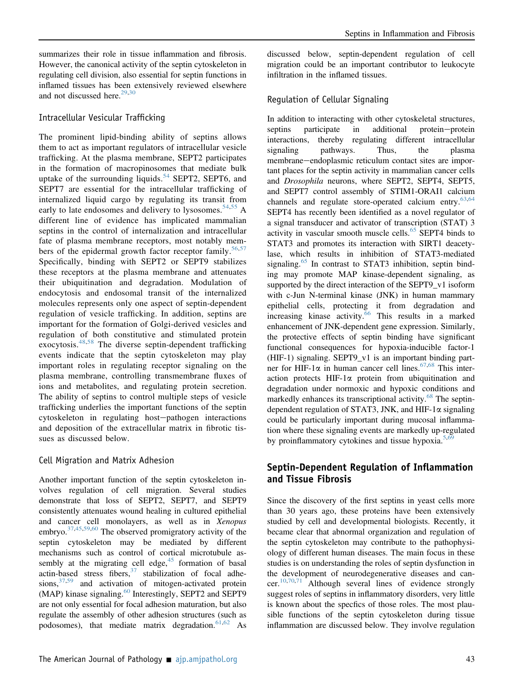summarizes their role in tissue inflammation and fibrosis. However, the canonical activity of the septin cytoskeleton in regulating cell division, also essential for septin functions in inflamed tissues has been extensively reviewed elsewhere and not discussed here.<sup>[29,](#page-8-25)[30](#page-8-26)</sup>

## Intracellular Vesicular Trafficking

The prominent lipid-binding ability of septins allows them to act as important regulators of intracellular vesicle trafficking. At the plasma membrane, SEPT2 participates in the formation of macropinosomes that mediate bulk uptake of the surrounding liquids.<sup>[54](#page-9-23)</sup> SEPT2, SEPT6, and SEPT7 are essential for the intracellular trafficking of internalized liquid cargo by regulating its transit from early to late endosomes and delivery to lysosomes.<sup>[54,](#page-9-23)[55](#page-9-24)</sup> A different line of evidence has implicated mammalian septins in the control of internalization and intracellular fate of plasma membrane receptors, most notably mem-bers of the epidermal growth factor receptor family.<sup>[56](#page-9-25)[,57](#page-9-26)</sup> Specifically, binding with SEPT2 or SEPT9 stabilizes these receptors at the plasma membrane and attenuates their ubiquitination and degradation. Modulation of endocytosis and endosomal transit of the internalized molecules represents only one aspect of septin-dependent regulation of vesicle trafficking. In addition, septins are important for the formation of Golgi-derived vesicles and regulation of both constitutive and stimulated protein exocytosis. $48,58$  $48,58$  The diverse septin-dependent trafficking events indicate that the septin cytoskeleton may play important roles in regulating receptor signaling on the plasma membrane, controlling transmembrane fluxes of ions and metabolites, and regulating protein secretion. The ability of septins to control multiple steps of vesicle trafficking underlies the important functions of the septin cytoskeleton in regulating host-pathogen interactions and deposition of the extracellular matrix in fibrotic tissues as discussed below.

## Cell Migration and Matrix Adhesion

Another important function of the septin cytoskeleton involves regulation of cell migration. Several studies demonstrate that loss of SEPT2, SEPT7, and SEPT9 consistently attenuates wound healing in cultured epithelial and cancer cell monolayers, as well as in Xenopus embryo. $37,45,59,60$  $37,45,59,60$  $37,45,59,60$  $37,45,59,60$  $37,45,59,60$  The observed promigratory activity of the septin cytoskeleton may be mediated by different mechanisms such as control of cortical microtubule assembly at the migrating cell edge, $45$  formation of basal actin-based stress fibers, $37$  stabilization of focal adhesions,  $37,59$  $37,59$  and activation of mitogen-activated protein (MAP) kinase signaling.<sup>[60](#page-9-29)</sup> Interestingly, SEPT2 and SEPT9 are not only essential for focal adhesion maturation, but also regulate the assembly of other adhesion structures (such as podosomes), that mediate matrix degradation.  $61,62$  $61,62$  As discussed below, septin-dependent regulation of cell migration could be an important contributor to leukocyte infiltration in the inflamed tissues.

## Regulation of Cellular Signaling

In addition to interacting with other cytoskeletal structures, septins participate in additional protein-protein interactions, thereby regulating different intracellular signaling pathways. Thus, the plasma membrane-endoplasmic reticulum contact sites are important places for the septin activity in mammalian cancer cells and *Drosophila* neurons, where SEPT2, SEPT4, SEPT5, and SEPT7 control assembly of STIM1-ORAI1 calcium channels and regulate store-operated calcium entry. $63,64$  $63,64$ SEPT4 has recently been identified as a novel regulator of a signal transducer and activator of transcription (STAT) 3 activity in vascular smooth muscle cells.<sup>[65](#page-9-34)</sup> SEPT4 binds to STAT3 and promotes its interaction with SIRT1 deacetylase, which results in inhibition of STAT3-mediated signaling.<sup>[65](#page-9-34)</sup> In contrast to STAT3 inhibition, septin binding may promote MAP kinase-dependent signaling, as supported by the direct interaction of the SEPT9 v1 isoform with c-Jun N-terminal kinase (JNK) in human mammary epithelial cells, protecting it from degradation and increasing kinase activity.<sup>[66](#page-9-35)</sup> This results in a marked enhancement of JNK-dependent gene expression. Similarly, the protective effects of septin binding have significant functional consequences for hypoxia-inducible factor-1 (HIF-1) signaling. SEPT9\_v1 is an important binding partner for HIF-1 $\alpha$  in human cancer cell lines.<sup>[67](#page-10-0)[,68](#page-10-1)</sup> This interaction protects HIF-1a protein from ubiquitination and degradation under normoxic and hypoxic conditions and markedly enhances its transcriptional activity.<sup>[68](#page-10-1)</sup> The septindependent regulation of STAT3, JNK, and HIF-1 $\alpha$  signaling could be particularly important during mucosal inflammation where these signaling events are markedly up-regulated by proinflammatory cytokines and tissue hypoxia.<sup>[5,](#page-8-4)[69](#page-10-2)</sup>

## Septin-Dependent Regulation of Inflammation and Tissue Fibrosis

Since the discovery of the first septins in yeast cells more than 30 years ago, these proteins have been extensively studied by cell and developmental biologists. Recently, it became clear that abnormal organization and regulation of the septin cytoskeleton may contribute to the pathophysiology of different human diseases. The main focus in these studies is on understanding the roles of septin dysfunction in the development of neurodegenerative diseases and cancer.[10,](#page-8-7)[70](#page-10-3)[,71](#page-10-4) Although several lines of evidence strongly suggest roles of septins in inflammatory disorders, very little is known about the specfics of those roles. The most plausible functions of the septin cytoskeleton during tissue inflammation are discussed below. They involve regulation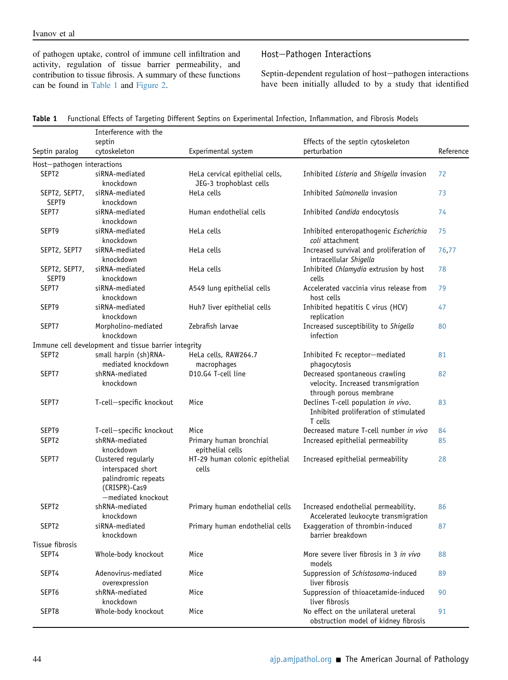of pathogen uptake, control of immune cell infiltration and activity, regulation of tissue barrier permeability, and contribution to tissue fibrosis. A summary of these functions can be found in [Table 1](#page-4-0) and [Figure 2.](#page-5-0)

## Host-Pathogen Interactions

Septin-dependent regulation of host-pathogen interactions have been initially alluded to by a study that identified

<span id="page-4-0"></span>

|  | Table 1 Functional Effects of Targeting Different Septins on Experimental Infection, Inflammation, and Fibrosis Models |  |  |  |  |  |
|--|------------------------------------------------------------------------------------------------------------------------|--|--|--|--|--|
|--|------------------------------------------------------------------------------------------------------------------------|--|--|--|--|--|

|                            | Interference with the                                                                                  |                                                            |                                                                                                 |           |  |  |
|----------------------------|--------------------------------------------------------------------------------------------------------|------------------------------------------------------------|-------------------------------------------------------------------------------------------------|-----------|--|--|
|                            | septin                                                                                                 |                                                            | Effects of the septin cytoskeleton                                                              |           |  |  |
| Septin paralog             | cytoskeleton                                                                                           | Experimental system                                        | perturbation                                                                                    | Reference |  |  |
| Host-pathogen interactions |                                                                                                        |                                                            |                                                                                                 |           |  |  |
| SEPT <sub>2</sub>          | siRNA-mediated<br>knockdown                                                                            | HeLa cervical epithelial cells,<br>JEG-3 trophoblast cells | Inhibited Listeria and Shigella invasion                                                        | 72        |  |  |
| SEPT2, SEPT7,<br>SEPT9     | siRNA-mediated<br>knockdown                                                                            | HeLa cells                                                 | Inhibited Salmonella invasion                                                                   | 73        |  |  |
| SEPT7                      | siRNA-mediated<br>knockdown                                                                            | Human endothelial cells                                    | Inhibited Candida endocytosis                                                                   | 74        |  |  |
| SEPT9                      | siRNA-mediated<br>knockdown                                                                            | HeLa cells                                                 | Inhibited enteropathogenic Escherichia<br>coli attachment                                       | 75        |  |  |
| SEPT2, SEPT7               | siRNA-mediated<br>knockdown                                                                            | HeLa cells                                                 | Increased survival and proliferation of<br>intracellular Shigella                               | 76,77     |  |  |
| SEPT2, SEPT7,<br>SEPT9     | siRNA-mediated<br>knockdown                                                                            | HeLa cells                                                 | Inhibited Chlamydia extrusion by host<br>cells                                                  | 78        |  |  |
| SEPT7                      | siRNA-mediated<br>knockdown                                                                            | A549 lung epithelial cells                                 | Accelerated vaccinia virus release from<br>host cells                                           | 79        |  |  |
| SEPT9                      | siRNA-mediated<br>knockdown                                                                            | Huh7 liver epithelial cells                                | Inhibited hepatitis C virus (HCV)<br>replication                                                | 47        |  |  |
| SEPT7                      | Morpholino-mediated<br>knockdown                                                                       | Zebrafish larvae                                           | Increased susceptibility to Shigella<br>infection                                               | 80        |  |  |
|                            | Immune cell development and tissue barrier integrity                                                   |                                                            |                                                                                                 |           |  |  |
| SEPT <sub>2</sub>          | small harpin (sh)RNA-<br>mediated knockdown                                                            | HeLa cells, RAW264.7<br>macrophages                        | Inhibited Fc receptor-mediated<br>phagocytosis                                                  | 81        |  |  |
| SEPT7                      | shRNA-mediated<br>knockdown                                                                            | D10.G4 T-cell line                                         | Decreased spontaneous crawling<br>velocity. Increased transmigration<br>through porous membrane | 82        |  |  |
| SEPT7                      | T-cell-specific knockout                                                                               | Mice                                                       | Declines T-cell population in vivo.<br>Inhibited proliferation of stimulated<br>T cells         | 83        |  |  |
| SEPT9                      | T-cell-specific knockout                                                                               | Mice                                                       | Decreased mature T-cell number in vivo                                                          | 84        |  |  |
| SEPT2                      | shRNA-mediated<br>knockdown                                                                            | Primary human bronchial<br>epithelial cells                | Increased epithelial permeability                                                               | 85        |  |  |
| SEPT7                      | Clustered regularly<br>interspaced short<br>palindromic repeats<br>(CRISPR)-Cas9<br>-mediated knockout | HT-29 human colonic epithelial<br>cells                    | Increased epithelial permeability                                                               | 28        |  |  |
| SEPT <sub>2</sub>          | shRNA-mediated<br>knockdown                                                                            | Primary human endothelial cells                            | Increased endothelial permeability.<br>Accelerated leukocyte transmigration                     | 86        |  |  |
| SEPT2                      | siRNA-mediated<br>knockdown                                                                            | Primary human endothelial cells                            | Exaggeration of thrombin-induced<br>barrier breakdown                                           | 87        |  |  |
| Tissue fibrosis            |                                                                                                        |                                                            |                                                                                                 |           |  |  |
| SEPT4                      | Whole-body knockout                                                                                    | Mice                                                       | More severe liver fibrosis in 3 in vivo<br>models                                               | 88        |  |  |
| SEPT4                      | Adenovirus-mediated<br>overexpression                                                                  | Mice                                                       | Suppression of Schistosoma-induced<br>liver fibrosis                                            | 89        |  |  |
| SEPT6                      | shRNA-mediated<br>knockdown                                                                            | Mice                                                       | Suppression of thioacetamide-induced<br>liver fibrosis                                          | 90        |  |  |
| SEPT8                      | Whole-body knockout                                                                                    | Mice                                                       | No effect on the unilateral ureteral<br>obstruction model of kidney fibrosis                    | 91        |  |  |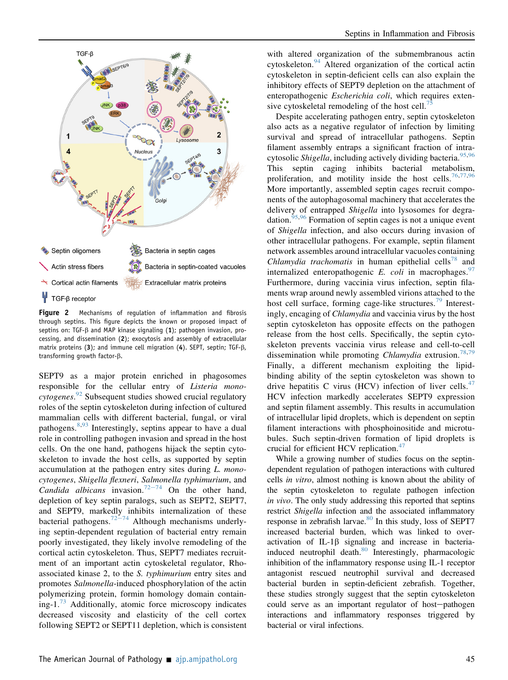<span id="page-5-0"></span>

Figure 2 Mechanisms of regulation of inflammation and fibrosis through septins. This figure depicts the known or proposed impact of septins on: TGF- $\beta$  and MAP kinase signaling (1); pathogen invasion, processing, and dissemination (2); exocytosis and assembly of extracellular matrix proteins (3); and immune cell migration (4). SEPT, septin; TGF-ß, transforming growth factor- $\beta$ .

SEPT9 as a major protein enriched in phagosomes responsible for the cellular entry of Listeria mono-cytogenes.<sup>[92](#page-10-25)</sup> Subsequent studies showed crucial regulatory roles of the septin cytoskeleton during infection of cultured mammalian cells with different bacterial, fungal, or viral pathogens.  $8,93$  $8,93$  Interestingly, septins appear to have a dual role in controlling pathogen invasion and spread in the host cells. On the one hand, pathogens hijack the septin cytoskeleton to invade the host cells, as supported by septin accumulation at the pathogen entry sites during L. monocytogenes, Shigella flexneri, Salmonella typhimurium, and Candida albicans invasion.<sup>[72](#page-10-5)-[74](#page-10-5)</sup> On the other hand, depletion of key septin paralogs, such as SEPT2, SEPT7, and SEPT9, markedly inhibits internalization of these bacterial pathogens.<sup>[72](#page-10-5)–[74](#page-10-5)</sup> Although mechanisms underlying septin-dependent regulation of bacterial entry remain poorly investigated, they likely involve remodeling of the cortical actin cytoskeleton. Thus, SEPT7 mediates recruitment of an important actin cytoskeletal regulator, Rhoassociated kinase 2, to the S. typhimurium entry sites and promotes Salmonella-induced phosphorylation of the actin polymerizing protein, formin homology domain containing-1. $^{73}$  $^{73}$  $^{73}$  Additionally, atomic force microscopy indicates decreased viscosity and elasticity of the cell cortex following SEPT2 or SEPT11 depletion, which is consistent

with altered organization of the submembranous actin cytoskeleton.<sup>[94](#page-10-27)</sup> Altered organization of the cortical actin cytoskeleton in septin-deficient cells can also explain the inhibitory effects of SEPT9 depletion on the attachment of enteropathogenic Escherichia coli, which requires extensive cytoskeletal remodeling of the host cell. $\frac{75}{5}$  $\frac{75}{5}$  $\frac{75}{5}$ 

Despite accelerating pathogen entry, septin cytoskeleton also acts as a negative regulator of infection by limiting survival and spread of intracellular pathogens. Septin filament assembly entraps a significant fraction of intra-cytosolic Shigella, including actively dividing bacteria.<sup>[95](#page-10-28)[,96](#page-10-29)</sup> This septin caging inhibits bacterial metabolism, proliferation, and motility inside the host cells.<sup>[76,](#page-10-9)[77](#page-10-10)[,96](#page-10-29)</sup> More importantly, assembled septin cages recruit components of the autophagosomal machinery that accelerates the delivery of entrapped Shigella into lysosomes for degra-dation.<sup>[95](#page-10-28)[,96](#page-10-29)</sup> Formation of septin cages is not a unique event of Shigella infection, and also occurs during invasion of other intracellular pathogens. For example, septin filament network assembles around intracellular vacuoles containing Chlamydia trachomatis in human epithelial cells<sup>[78](#page-10-11)</sup> and internalized enteropathogenic E. coli in macrophages.  $97$ Furthermore, during vaccinia virus infection, septin filaments wrap around newly assembled virions attached to the host cell surface, forming cage-like structures.<sup>[79](#page-10-12)</sup> Interestingly, encaging of Chlamydia and vaccinia virus by the host septin cytoskeleton has opposite effects on the pathogen release from the host cells. Specifically, the septin cytoskeleton prevents vaccinia virus release and cell-to-cell dissemination while promoting *Chlamydia* extrusion.<sup>[78](#page-10-11)[,79](#page-10-12)</sup> Finally, a different mechanism exploiting the lipidbinding ability of the septin cytoskeleton was shown to drive hepatitis C virus (HCV) infection of liver cells. $47$ HCV infection markedly accelerates SEPT9 expression and septin filament assembly. This results in accumulation of intracellular lipid droplets, which is dependent on septin filament interactions with phosphoinositide and microtubules. Such septin-driven formation of lipid droplets is crucial for efficient HCV replication.<sup>[47](#page-9-16)</sup>

While a growing number of studies focus on the septindependent regulation of pathogen interactions with cultured cells in vitro, almost nothing is known about the ability of the septin cytoskeleton to regulate pathogen infection in vivo. The only study addressing this reported that septins restrict Shigella infection and the associated inflammatory response in zebrafish larvae.<sup>[80](#page-10-13)</sup> In this study, loss of SEPT7 increased bacterial burden, which was linked to overactivation of  $IL-1\beta$  signaling and increase in bacteria-induced neutrophil death.<sup>[80](#page-10-13)</sup> Interestingly, pharmacologic inhibition of the inflammatory response using IL-1 receptor antagonist rescued neutrophil survival and decreased bacterial burden in septin-deficient zebrafish. Together, these studies strongly suggest that the septin cytoskeleton could serve as an important regulator of host-pathogen interactions and inflammatory responses triggered by bacterial or viral infections.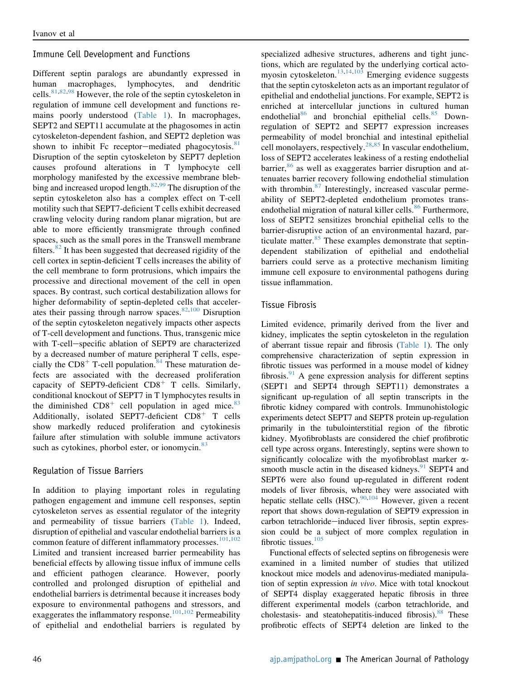#### Immune Cell Development and Functions

Different septin paralogs are abundantly expressed in human macrophages, lymphocytes, and dendritic cells.[81,](#page-10-14)[82](#page-10-15)[,98](#page-10-31) However, the role of the septin cytoskeleton in regulation of immune cell development and functions remains poorly understood ([Table 1\)](#page-4-0). In macrophages, SEPT2 and SEPT11 accumulate at the phagosomes in actin cytoskeleton-dependent fashion, and SEPT2 depletion was shown to inhibit Fc receptor-mediated phagocytosis. $81$ Disruption of the septin cytoskeleton by SEPT7 depletion causes profound alterations in T lymphocyte cell morphology manifested by the excessive membrane blebbing and increased uropod length. $82,99$  $82,99$  The disruption of the septin cytoskeleton also has a complex effect on T-cell motility such that SEPT7-deficient T cells exhibit decreased crawling velocity during random planar migration, but are able to more efficiently transmigrate through confined spaces, such as the small pores in the Transwell membrane filters. $82$  It has been suggested that decreased rigidity of the cell cortex in septin-deficient T cells increases the ability of the cell membrane to form protrusions, which impairs the processive and directional movement of the cell in open spaces. By contrast, such cortical destabilization allows for higher deformability of septin-depleted cells that accelerates their passing through narrow spaces. $82,100$  $82,100$  Disruption of the septin cytoskeleton negatively impacts other aspects of T-cell development and functions. Thus, transgenic mice with T-cell-specific ablation of SEPT9 are characterized by a decreased number of mature peripheral T cells, especially the  $CD8<sup>+</sup>$  T-cell population.<sup>[84](#page-10-17)</sup> These maturation defects are associated with the decreased proliferation capacity of SEPT9-deficient  $CD8<sup>+</sup>$  T cells. Similarly, conditional knockout of SEPT7 in T lymphocytes results in the diminished  $CD8<sup>+</sup>$  cell population in aged mice.<sup>[83](#page-10-16)</sup> Additionally, isolated SEPT7-deficient  $CD8<sup>+</sup>$  T cells show markedly reduced proliferation and cytokinesis failure after stimulation with soluble immune activators such as cytokines, phorbol ester, or ionomycin. $83$ 

### Regulation of Tissue Barriers

In addition to playing important roles in regulating pathogen engagement and immune cell responses, septin cytoskeleton serves as essential regulator of the integrity and permeability of tissue barriers [\(Table 1\)](#page-4-0). Indeed, disruption of epithelial and vascular endothelial barriers is a common feature of different inflammatory processes.<sup>[101,](#page-10-34)[102](#page-10-35)</sup> Limited and transient increased barrier permeability has beneficial effects by allowing tissue influx of immune cells and efficient pathogen clearance. However, poorly controlled and prolonged disruption of epithelial and endothelial barriers is detrimental because it increases body exposure to environmental pathogens and stressors, and exaggerates the inflammatory response.<sup>[101](#page-10-34)[,102](#page-10-35)</sup> Permeability of epithelial and endothelial barriers is regulated by specialized adhesive structures, adherens and tight junctions, which are regulated by the underlying cortical actomyosin cytoskeleton.[13,](#page-8-27)[14](#page-8-28)[,103](#page-10-36) Emerging evidence suggests that the septin cytoskeleton acts as an important regulator of epithelial and endothelial junctions. For example, SEPT2 is enriched at intercellular junctions in cultured human endothelial<sup>[86](#page-10-19)</sup> and bronchial epithelial cells.<sup>[85](#page-10-18)</sup> Downregulation of SEPT2 and SEPT7 expression increases permeability of model bronchial and intestinal epithelial cell monolayers, respectively.<sup>[28,](#page-8-23)[85](#page-10-18)</sup> In vascular endothelium, loss of SEPT2 accelerates leakiness of a resting endothelial barrier,  $86$  as well as exaggerates barrier disruption and attenuates barrier recovery following endothelial stimulation with thrombin.<sup>[87](#page-10-20)</sup> Interestingly, increased vascular permeability of SEPT2-depleted endothelium promotes transendothelial migration of natural killer cells. $86$  Furthermore, loss of SEPT2 sensitizes bronchial epithelial cells to the barrier-disruptive action of an environmental hazard, particulate matter. $85$  These examples demonstrate that septindependent stabilization of epithelial and endothelial barriers could serve as a protective mechanism limiting immune cell exposure to environmental pathogens during tissue inflammation.

### Tissue Fibrosis

Limited evidence, primarily derived from the liver and kidney, implicates the septin cytoskeleton in the regulation of aberrant tissue repair and fibrosis [\(Table 1](#page-4-0)). The only comprehensive characterization of septin expression in fibrotic tissues was performed in a mouse model of kidney fibrosis. $91$  A gene expression analysis for different septins (SEPT1 and SEPT4 through SEPT11) demonstrates a significant up-regulation of all septin transcripts in the fibrotic kidney compared with controls. Immunohistologic experiments detect SEPT7 and SEPT8 protein up-regulation primarily in the tubulointerstitial region of the fibrotic kidney. Myofibroblasts are considered the chief profibrotic cell type across organs. Interestingly, septins were shown to significantly colocalize with the myofibroblast marker  $\alpha$ smooth muscle actin in the diseased kidneys. $91$  SEPT4 and SEPT6 were also found up-regulated in different rodent models of liver fibrosis, where they were associated with hepatic stellate cells  $(HSC)$ .<sup>[90](#page-10-23)[,104](#page-10-37)</sup> However, given a recent report that shows down-regulation of SEPT9 expression in carbon tetrachloride-induced liver fibrosis, septin expression could be a subject of more complex regulation in fibrotic tissues.<sup>[105](#page-10-38)</sup>

Functional effects of selected septins on fibrogenesis were examined in a limited number of studies that utilized knockout mice models and adenovirus-mediated manipulation of septin expression in vivo. Mice with total knockout of SEPT4 display exaggerated hepatic fibrosis in three different experimental models (carbon tetrachloride, and cholestasis- and steatohepatitis-induced fibrosis).<sup>88</sup> These profibrotic effects of SEPT4 deletion are linked to the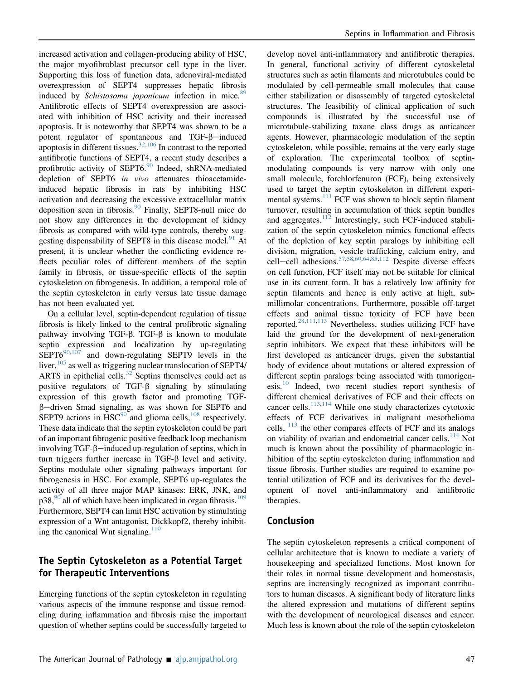increased activation and collagen-producing ability of HSC, the major myofibroblast precursor cell type in the liver. Supporting this loss of function data, adenoviral-mediated overexpression of SEPT4 suppresses hepatic fibrosis induced by Schistosoma japonicum infection in mice.<sup>[89](#page-10-22)</sup> Antifibrotic effects of SEPT4 overexpression are associated with inhibition of HSC activity and their increased apoptosis. It is noteworthy that SEPT4 was shown to be a potent regulator of spontaneous and TGF- $\beta$ -induced apoptosis in different tissues. $32,106$  $32,106$  $32,106$  In contrast to the reported antifibrotic functions of SEPT4, a recent study describes a profibrotic activity of SEPT6.<sup>[90](#page-10-23)</sup> Indeed, shRNA-mediated depletion of SEPT6 in vivo attenuates thioacetamideinduced hepatic fibrosis in rats by inhibiting HSC activation and decreasing the excessive extracellular matrix deposition seen in fibrosis.<sup>[90](#page-10-23)</sup> Finally, SEPT8-null mice do not show any differences in the development of kidney fibrosis as compared with wild-type controls, thereby sug-gesting dispensability of SEPT8 in this disease model.<sup>[91](#page-10-24)</sup> At present, it is unclear whether the conflicting evidence reflects peculiar roles of different members of the septin family in fibrosis, or tissue-specific effects of the septin cytoskeleton on fibrogenesis. In addition, a temporal role of the septin cytoskeleton in early versus late tissue damage has not been evaluated yet.

On a cellular level, septin-dependent regulation of tissue fibrosis is likely linked to the central profibrotic signaling pathway involving TGF- $\beta$ . TGF- $\beta$  is known to modulate septin expression and localization by up-regulating  $SEPT6^{90,107}$  $SEPT6^{90,107}$  $SEPT6^{90,107}$  $SEPT6^{90,107}$  and down-regulating SEPT9 levels in the liver,  $\frac{105}{3}$  $\frac{105}{3}$  $\frac{105}{3}$  as well as triggering nuclear translocation of SEPT4/ ARTS in epithelial cells. $32$  Septins themselves could act as positive regulators of TGF- $\beta$  signaling by stimulating expression of this growth factor and promoting TGF- $\beta$ -driven Smad signaling, as was shown for SEPT6 and SEPT9 actions in  $HSC^{90}$  $HSC^{90}$  $HSC^{90}$  and glioma cells,  $^{108}$  $^{108}$  $^{108}$  respectively. These data indicate that the septin cytoskeleton could be part of an important fibrogenic positive feedback loop mechanism involving TGF- $\beta$ -induced up-regulation of septins, which in turn triggers further increase in TGF- $\beta$  level and activity. Septins modulate other signaling pathways important for fibrogenesis in HSC. For example, SEPT6 up-regulates the activity of all three major MAP kinases: ERK, JNK, and  $p38,90$  $p38,90$  all of which have been implicated in organ fibrosis.<sup>[109](#page-11-3)</sup> Furthermore, SEPT4 can limit HSC activation by stimulating expression of a Wnt antagonist, Dickkopf2, thereby inhibiting the canonical Wnt signaling. $110$ 

## The Septin Cytoskeleton as a Potential Target for Therapeutic Interventions

Emerging functions of the septin cytoskeleton in regulating various aspects of the immune response and tissue remodeling during inflammation and fibrosis raise the important question of whether septins could be successfully targeted to

develop novel anti-inflammatory and antifibrotic therapies. In general, functional activity of different cytoskeletal structures such as actin filaments and microtubules could be modulated by cell-permeable small molecules that cause either stabilization or disassembly of targeted cytoskeletal structures. The feasibility of clinical application of such compounds is illustrated by the successful use of microtubule-stabilizing taxane class drugs as anticancer agents. However, pharmacologic modulation of the septin cytoskeleton, while possible, remains at the very early stage of exploration. The experimental toolbox of septinmodulating compounds is very narrow with only one small molecule, forchlorfenuron (FCF), being extensively used to target the septin cytoskeleton in different experi-mental systems.<sup>[111](#page-11-5)</sup> FCF was shown to block septin filament turnover, resulting in accumulation of thick septin bundles and aggregates.<sup>[112](#page-11-6)</sup> Interestingly, such FCF-induced stabilization of the septin cytoskeleton mimics functional effects of the depletion of key septin paralogs by inhibiting cell division, migration, vesicle trafficking, calcium entry, and cell-cell adhesions.<sup>[57](#page-9-26)[,58,](#page-9-27)[60](#page-9-29),[64](#page-9-33)[,85,](#page-10-18)[112](#page-11-6)</sup> Despite diverse effects on cell function, FCF itself may not be suitable for clinical use in its current form. It has a relatively low affinity for septin filaments and hence is only active at high, submillimolar concentrations. Furthermore, possible off-target effects and animal tissue toxicity of FCF have been reported.<sup>[28,](#page-8-23)[111,](#page-11-5)[113](#page-11-7)</sup> Nevertheless, studies utilizing FCF have laid the ground for the development of next-generation septin inhibitors. We expect that these inhibitors will be first developed as anticancer drugs, given the substantial body of evidence about mutations or altered expression of different septin paralogs being associated with tumorigen-esis.<sup>[10](#page-8-7)</sup> Indeed, two recent studies report synthesis of different chemical derivatives of FCF and their effects on cancer cells. $113,114$  $113,114$  While one study characterizes cytotoxic effects of FCF derivatives in malignant mesothelioma cells,  $113$  the other compares effects of FCF and its analogs on viability of ovarian and endometrial cancer cells.<sup>[114](#page-11-8)</sup> Not much is known about the possibility of pharmacologic inhibition of the septin cytoskeleton during inflammation and tissue fibrosis. Further studies are required to examine potential utilization of FCF and its derivatives for the development of novel anti-inflammatory and antifibrotic therapies.

## Conclusion

The septin cytoskeleton represents a critical component of cellular architecture that is known to mediate a variety of housekeeping and specialized functions. Most known for their roles in normal tissue development and homeostasis, septins are increasingly recognized as important contributors to human diseases. A significant body of literature links the altered expression and mutations of different septins with the development of neurological diseases and cancer. Much less is known about the role of the septin cytoskeleton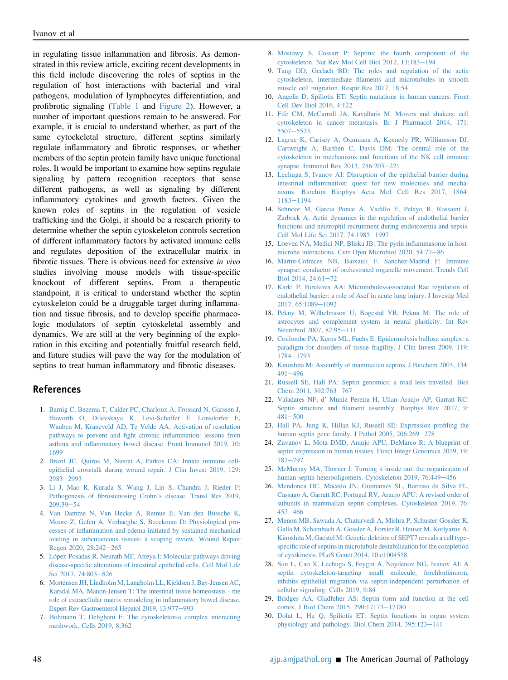in regulating tissue inflammation and fibrosis. As demonstrated in this review article, exciting recent developments in this field include discovering the roles of septins in the regulation of host interactions with bacterial and viral pathogens, modulation of lymphocytes differentiation, and profibrotic signaling [\(Table 1](#page-4-0) and [Figure 2\)](#page-5-0). However, a number of important questions remain to be answered. For example, it is crucial to understand whether, as part of the same cytockeletal structure, different septins similarly regulate inflammatory and fibrotic responses, or whether members of the septin protein family have unique functional roles. It would be important to examine how septins regulate signaling by pattern recognition receptors that sense different pathogens, as well as signaling by different inflammatory cytokines and growth factors. Given the known roles of septins in the regulation of vesicle trafficking and the Golgi, it should be a research priority to determine whether the septin cytoskeleton controls secretion of different inflammatory factors by activated immune cells and regulates deposition of the extracellular matrix in fibrotic tissues. There is obvious need for extensive in vivo studies involving mouse models with tissue-specific knockout of different septins. From a therapeutic standpoint, it is critical to understand whether the septin cytoskeleton could be a druggable target during inflammation and tissue fibrosis, and to develop specific pharmacologic modulators of septin cytoskeletal assembly and dynamics. We are still at the very beginning of the exploration in this exciting and potentially fruitful research field, and future studies will pave the way for the modulation of septins to treat human inflammatory and fibrotic diseases.

## References

- <span id="page-8-0"></span>1. [Barnig C, Bezema T, Calder PC, Charloux A, Frossard N, Garssen J,](http://refhub.elsevier.com/S0002-9440(20)30450-8/sref1) [Haworth O, Dilevskaya K, Levi-Schaffer F, Lonsdorfer E,](http://refhub.elsevier.com/S0002-9440(20)30450-8/sref1) [Wauben M, Kraneveld AD, Te Velde AA: Activation of resolution](http://refhub.elsevier.com/S0002-9440(20)30450-8/sref1) [pathways to prevent and](http://refhub.elsevier.com/S0002-9440(20)30450-8/sref1) fight chronic inflammation: lessons from asthma and infl[ammatory bowel disease. Front Immunol 2019, 10:](http://refhub.elsevier.com/S0002-9440(20)30450-8/sref1) [1699](http://refhub.elsevier.com/S0002-9440(20)30450-8/sref1)
- <span id="page-8-1"></span>2. [Brazil JC, Quiros M, Nusrat A, Parkos CA: Innate immune cell](http://refhub.elsevier.com/S0002-9440(20)30450-8/sref2)[epithelial crosstalk during wound repair. J Clin Invest 2019, 129:](http://refhub.elsevier.com/S0002-9440(20)30450-8/sref2) [2983](http://refhub.elsevier.com/S0002-9440(20)30450-8/sref2)-[2993](http://refhub.elsevier.com/S0002-9440(20)30450-8/sref2)
- <span id="page-8-2"></span>3. [Li J, Mao R, Kurada S, Wang J, Lin S, Chandra J, Rieder F:](http://refhub.elsevier.com/S0002-9440(20)30450-8/sref3) Pathogenesis of fibrostenosing Crohn'[s disease. Transl Res 2019,](http://refhub.elsevier.com/S0002-9440(20)30450-8/sref3)  $209:39 - 54$  $209:39 - 54$  $209:39 - 54$
- <span id="page-8-3"></span>4. [Van Damme N, Van Hecke A, Remue E, Van den Bussche K,](http://refhub.elsevier.com/S0002-9440(20)30450-8/sref4) [Moore Z, Gefen A, Verhaeghe S, Beeckman D: Physiological pro](http://refhub.elsevier.com/S0002-9440(20)30450-8/sref4)cesses of infl[ammation and edema initiated by sustained mechanical](http://refhub.elsevier.com/S0002-9440(20)30450-8/sref4) [loading in subcutaneous tissues: a scoping review. Wound Repair](http://refhub.elsevier.com/S0002-9440(20)30450-8/sref4) [Regen 2020, 28:242](http://refhub.elsevier.com/S0002-9440(20)30450-8/sref4)-[265](http://refhub.elsevier.com/S0002-9440(20)30450-8/sref4)
- <span id="page-8-4"></span>5. [López-Posadas R, Neurath MF, Atreya I: Molecular pathways driving](http://refhub.elsevier.com/S0002-9440(20)30450-8/sref5) disease-specifi[c alterations of intestinal epithelial cells. Cell Mol Life](http://refhub.elsevier.com/S0002-9440(20)30450-8/sref5) [Sci 2017, 74:803](http://refhub.elsevier.com/S0002-9440(20)30450-8/sref5)-[826](http://refhub.elsevier.com/S0002-9440(20)30450-8/sref5)
- <span id="page-8-5"></span>6. [Mortensen JH, Lindholm M, Langholm LL, Kjeldsen J, Bay-Jensen AC,](http://refhub.elsevier.com/S0002-9440(20)30450-8/sref6) [Karsdal MA, Manon-Jensen T: The intestinal tissue homeostasis - the](http://refhub.elsevier.com/S0002-9440(20)30450-8/sref6) [role of extracellular matrix remodeling in in](http://refhub.elsevier.com/S0002-9440(20)30450-8/sref6)flammatory bowel disease. [Expert Rev Gastroenterol Hepatol 2019, 13:977](http://refhub.elsevier.com/S0002-9440(20)30450-8/sref6)-[993](http://refhub.elsevier.com/S0002-9440(20)30450-8/sref6)
- <span id="page-8-6"></span>7. [Hohmann T, Dehghani F: The cytoskeleton-a complex interacting](http://refhub.elsevier.com/S0002-9440(20)30450-8/sref7) [meshwork. Cells 2019, 8:362](http://refhub.elsevier.com/S0002-9440(20)30450-8/sref7)
- <span id="page-8-24"></span>8. [Mostowy S, Cossart P: Septins: the fourth component of the](http://refhub.elsevier.com/S0002-9440(20)30450-8/sref8) [cytoskeleton. Nat Rev Mol Cell Biol 2012, 13:183](http://refhub.elsevier.com/S0002-9440(20)30450-8/sref8)-[194](http://refhub.elsevier.com/S0002-9440(20)30450-8/sref8)
- 9. [Tang DD, Gerlach BD: The roles and regulation of the actin](http://refhub.elsevier.com/S0002-9440(20)30450-8/sref9) cytoskeleton, intermediate fi[laments and microtubules in smooth](http://refhub.elsevier.com/S0002-9440(20)30450-8/sref9) [muscle cell migration. Respir Res 2017, 18:54](http://refhub.elsevier.com/S0002-9440(20)30450-8/sref9)
- <span id="page-8-7"></span>10. [Angelis D, Spiliotis ET: Septin mutations in human cancers. Front](http://refhub.elsevier.com/S0002-9440(20)30450-8/sref10) [Cell Dev Biol 2016, 4:122](http://refhub.elsevier.com/S0002-9440(20)30450-8/sref10)
- <span id="page-8-8"></span>11. [Fife CM, McCarroll JA, Kavallaris M: Movers and shakers: cell](http://refhub.elsevier.com/S0002-9440(20)30450-8/sref11) [cytoskeleton in cancer metastasis. Br J Pharmacol 2014, 171:](http://refhub.elsevier.com/S0002-9440(20)30450-8/sref11) [5507](http://refhub.elsevier.com/S0002-9440(20)30450-8/sref11)-[5523](http://refhub.elsevier.com/S0002-9440(20)30450-8/sref11)
- <span id="page-8-9"></span>12. [Lagrue K, Carisey A, Oszmiana A, Kennedy PR, Williamson DJ,](http://refhub.elsevier.com/S0002-9440(20)30450-8/sref12) [Cartwright A, Barthen C, Davis DM: The central role of the](http://refhub.elsevier.com/S0002-9440(20)30450-8/sref12) [cytoskeleton in mechanisms and functions of the NK cell immune](http://refhub.elsevier.com/S0002-9440(20)30450-8/sref12) [synapse. Immunol Rev 2013, 256:203](http://refhub.elsevier.com/S0002-9440(20)30450-8/sref12)-[221](http://refhub.elsevier.com/S0002-9440(20)30450-8/sref12)
- <span id="page-8-27"></span>13. [Lechuga S, Ivanov AI: Disruption of the epithelial barrier during](http://refhub.elsevier.com/S0002-9440(20)30450-8/sref13) intestinal infl[ammation: quest for new molecules and mecha](http://refhub.elsevier.com/S0002-9440(20)30450-8/sref13)[nisms. Biochim Biophys Acta Mol Cell Res 2017, 1864:](http://refhub.elsevier.com/S0002-9440(20)30450-8/sref13) [1183](http://refhub.elsevier.com/S0002-9440(20)30450-8/sref13)-[1194](http://refhub.elsevier.com/S0002-9440(20)30450-8/sref13)
- <span id="page-8-28"></span>14. [Schnoor M, Garcia Ponce A, Vadillo E, Pelayo R, Rossaint J,](http://refhub.elsevier.com/S0002-9440(20)30450-8/sref14) [Zarbock A: Actin dynamics in the regulation of endothelial barrier](http://refhub.elsevier.com/S0002-9440(20)30450-8/sref14) [functions and neutrophil recruitment during endotoxemia and sepsis.](http://refhub.elsevier.com/S0002-9440(20)30450-8/sref14) [Cell Mol Life Sci 2017, 74:1985](http://refhub.elsevier.com/S0002-9440(20)30450-8/sref14)-[1997](http://refhub.elsevier.com/S0002-9440(20)30450-8/sref14)
- <span id="page-8-10"></span>15. [Loeven NA, Medici NP, Bliska JB: The pyrin in](http://refhub.elsevier.com/S0002-9440(20)30450-8/sref15)flammasome in host[microbe interactions. Curr Opin Microbiol 2020, 54:77](http://refhub.elsevier.com/S0002-9440(20)30450-8/sref15)-[86](http://refhub.elsevier.com/S0002-9440(20)30450-8/sref15)
- <span id="page-8-11"></span>16. [Martin-Cofreces NB, Baixauli F, Sanchez-Madrid F: Immune](http://refhub.elsevier.com/S0002-9440(20)30450-8/sref16) [synapse: conductor of orchestrated organelle movement. Trends Cell](http://refhub.elsevier.com/S0002-9440(20)30450-8/sref16) Biol 2014,  $24:61-72$  $24:61-72$
- <span id="page-8-12"></span>17. [Karki P, Birukova AA: Microtubules-associated Rac regulation of](http://refhub.elsevier.com/S0002-9440(20)30450-8/sref17) [endothelial barrier: a role of Asef in acute lung injury. J Investig Med](http://refhub.elsevier.com/S0002-9440(20)30450-8/sref17) [2017, 65:1089](http://refhub.elsevier.com/S0002-9440(20)30450-8/sref17)-[1092](http://refhub.elsevier.com/S0002-9440(20)30450-8/sref17)
- <span id="page-8-13"></span>18. [Pekny M, Wilhelmsson U, Bogestal YR, Pekna M: The role of](http://refhub.elsevier.com/S0002-9440(20)30450-8/sref18) [astrocytes and complement system in neural plasticity. Int Rev](http://refhub.elsevier.com/S0002-9440(20)30450-8/sref18) [Neurobiol 2007, 82:95](http://refhub.elsevier.com/S0002-9440(20)30450-8/sref18)-[111](http://refhub.elsevier.com/S0002-9440(20)30450-8/sref18)
- <span id="page-8-14"></span>19. [Coulombe PA, Kerns ML, Fuchs E: Epidermolysis bullosa simplex: a](http://refhub.elsevier.com/S0002-9440(20)30450-8/sref19) [paradigm for disorders of tissue fragility. J Clin Invest 2009, 119:](http://refhub.elsevier.com/S0002-9440(20)30450-8/sref19) [1784](http://refhub.elsevier.com/S0002-9440(20)30450-8/sref19)-[1793](http://refhub.elsevier.com/S0002-9440(20)30450-8/sref19)
- <span id="page-8-15"></span>20. [Kinoshita M: Assembly of mammalian septins. J Biochem 2003, 134:](http://refhub.elsevier.com/S0002-9440(20)30450-8/sref20) [491](http://refhub.elsevier.com/S0002-9440(20)30450-8/sref20)-[496](http://refhub.elsevier.com/S0002-9440(20)30450-8/sref20)
- <span id="page-8-16"></span>21. [Russell SE, Hall PA: Septin genomics: a road less travelled. Biol](http://refhub.elsevier.com/S0002-9440(20)30450-8/sref21) [Chem 2011, 392:763](http://refhub.elsevier.com/S0002-9440(20)30450-8/sref21)-[767](http://refhub.elsevier.com/S0002-9440(20)30450-8/sref21)
- <span id="page-8-17"></span>22. Valadares NF, d' [Muniz Pereira H, Ulian Araujo AP, Garratt RC:](http://refhub.elsevier.com/S0002-9440(20)30450-8/sref22) Septin structure and fi[lament assembly. Biophys Rev 2017, 9:](http://refhub.elsevier.com/S0002-9440(20)30450-8/sref22)  $481 - 500$  $481 - 500$  $481 - 500$
- <span id="page-8-18"></span>23. [Hall PA, Jung K, Hillan KJ, Russell SE: Expression pro](http://refhub.elsevier.com/S0002-9440(20)30450-8/sref23)filing the [human septin gene family. J Pathol 2005, 206:269](http://refhub.elsevier.com/S0002-9440(20)30450-8/sref23)-[278](http://refhub.elsevier.com/S0002-9440(20)30450-8/sref23)
- <span id="page-8-19"></span>24. [Zuvanov L, Mota DMD, Araujo APU, DeMarco R: A blueprint of](http://refhub.elsevier.com/S0002-9440(20)30450-8/sref24) [septin expression in human tissues. Funct Integr Genomics 2019, 19:](http://refhub.elsevier.com/S0002-9440(20)30450-8/sref24) [787](http://refhub.elsevier.com/S0002-9440(20)30450-8/sref24)-[797](http://refhub.elsevier.com/S0002-9440(20)30450-8/sref24)
- <span id="page-8-20"></span>25. [McMurray MA, Thorner J: Turning it inside out: the organization of](http://refhub.elsevier.com/S0002-9440(20)30450-8/sref25) [human septin heterooligomers. Cytoskeleton 2019, 76:449](http://refhub.elsevier.com/S0002-9440(20)30450-8/sref25)-[456](http://refhub.elsevier.com/S0002-9440(20)30450-8/sref25)
- <span id="page-8-21"></span>26. [Mendonca DC, Macedo JN, Guimaraes SL, Barroso da Silva FL,](http://refhub.elsevier.com/S0002-9440(20)30450-8/sref26) [Cassago A, Garratt RC, Portugal RV, Araujo APU: A revised order of](http://refhub.elsevier.com/S0002-9440(20)30450-8/sref26) [subunits in mammalian septin complexes. Cytoskeleton 2019, 76:](http://refhub.elsevier.com/S0002-9440(20)30450-8/sref26)  $457 - 466$  $457 - 466$  $457 - 466$
- <span id="page-8-22"></span>27. [Menon MB, Sawada A, Chaturvedi A, Mishra P, Schuster-Gossler K,](http://refhub.elsevier.com/S0002-9440(20)30450-8/sref27) [Galla M, Schambach A, Gossler A, Forster R, Heuser M, Kotlyarov A,](http://refhub.elsevier.com/S0002-9440(20)30450-8/sref27) [Kinoshita M, Gaestel M: Genetic deletion of SEPT7 reveals a cell type](http://refhub.elsevier.com/S0002-9440(20)30450-8/sref27)specifi[c role of septins in microtubule destabilization for the completion](http://refhub.elsevier.com/S0002-9440(20)30450-8/sref27) [of cytokinesis. PLoS Genet 2014, 10:e1004558](http://refhub.elsevier.com/S0002-9440(20)30450-8/sref27)
- <span id="page-8-23"></span>28. [Sun L, Cao X, Lechuga S, Feygin A, Naydenov NG, Ivanov AI: A](http://refhub.elsevier.com/S0002-9440(20)30450-8/sref28) [septin cytoskeleton-targeting small molecule, forchlorfenuron,](http://refhub.elsevier.com/S0002-9440(20)30450-8/sref28) [inhibits epithelial migration via septin-independent perturbation of](http://refhub.elsevier.com/S0002-9440(20)30450-8/sref28) [cellular signaling. Cells 2019, 9:84](http://refhub.elsevier.com/S0002-9440(20)30450-8/sref28)
- <span id="page-8-25"></span>29. [Bridges AA, Gladfelter AS: Septin form and function at the cell](http://refhub.elsevier.com/S0002-9440(20)30450-8/sref29) [cortex. J Biol Chem 2015, 290:17173](http://refhub.elsevier.com/S0002-9440(20)30450-8/sref29)-[17180](http://refhub.elsevier.com/S0002-9440(20)30450-8/sref29)
- <span id="page-8-26"></span>30. [Dolat L, Hu Q, Spiliotis ET: Septin functions in organ system](http://refhub.elsevier.com/S0002-9440(20)30450-8/sref30) physiology and pathology. Biol Chem  $2014$ ,  $395:123-141$  $395:123-141$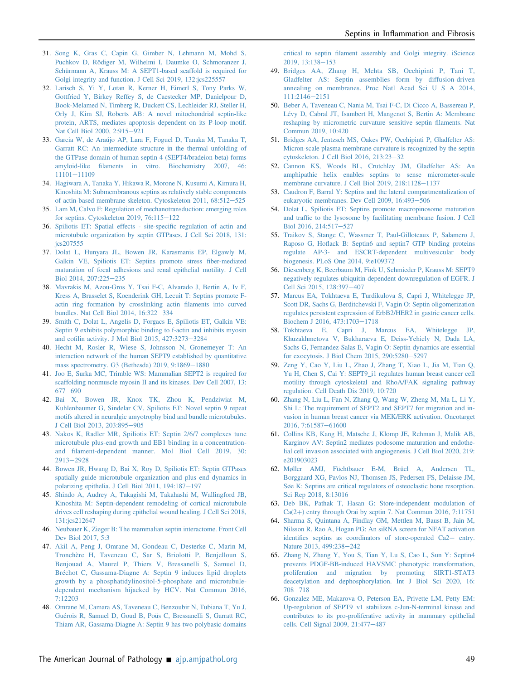- <span id="page-9-0"></span>31. [Song K, Gras C, Capin G, Gimber N, Lehmann M, Mohd S,](http://refhub.elsevier.com/S0002-9440(20)30450-8/sref31) [Puchkov D, Rödiger M, Wilhelmi I, Daumke O, Schmoranzer J,](http://refhub.elsevier.com/S0002-9440(20)30450-8/sref31) [Schürmann A, Krauss M: A SEPT1-based scaffold is required for](http://refhub.elsevier.com/S0002-9440(20)30450-8/sref31) [Golgi integrity and function. J Cell Sci 2019, 132:jcs225557](http://refhub.elsevier.com/S0002-9440(20)30450-8/sref31)
- <span id="page-9-1"></span>32. [Larisch S, Yi Y, Lotan R, Kerner H, Eimerl S, Tony Parks W,](http://refhub.elsevier.com/S0002-9440(20)30450-8/sref32) [Gottfried Y, Birkey Reffey S, de Caestecker MP, Danielpour D,](http://refhub.elsevier.com/S0002-9440(20)30450-8/sref32) [Book-Melamed N, Timberg R, Duckett CS, Lechleider RJ, Steller H,](http://refhub.elsevier.com/S0002-9440(20)30450-8/sref32) [Orly J, Kim SJ, Roberts AB: A novel mitochondrial septin-like](http://refhub.elsevier.com/S0002-9440(20)30450-8/sref32) [protein, ARTS, mediates apoptosis dependent on its P-loop motif.](http://refhub.elsevier.com/S0002-9440(20)30450-8/sref32) [Nat Cell Biol 2000, 2:915](http://refhub.elsevier.com/S0002-9440(20)30450-8/sref32)-[921](http://refhub.elsevier.com/S0002-9440(20)30450-8/sref32)
- <span id="page-9-2"></span>33. [Garcia W, de Araújo AP, Lara F, Foguel D, Tanaka M, Tanaka T,](http://refhub.elsevier.com/S0002-9440(20)30450-8/sref33) [Garratt RC: An intermediate structure in the thermal unfolding of](http://refhub.elsevier.com/S0002-9440(20)30450-8/sref33) [the GTPase domain of human septin 4 \(SEPT4/bradeion-beta\) forms](http://refhub.elsevier.com/S0002-9440(20)30450-8/sref33) amyloid-like fi[laments in vitro. Biochemistry 2007, 46:](http://refhub.elsevier.com/S0002-9440(20)30450-8/sref33) [11101](http://refhub.elsevier.com/S0002-9440(20)30450-8/sref33)-[11109](http://refhub.elsevier.com/S0002-9440(20)30450-8/sref33)
- <span id="page-9-3"></span>34. [Hagiwara A, Tanaka Y, Hikawa R, Morone N, Kusumi A, Kimura H,](http://refhub.elsevier.com/S0002-9440(20)30450-8/sref34) [Kinoshita M: Submembranous septins as relatively stable components](http://refhub.elsevier.com/S0002-9440(20)30450-8/sref34) [of actin-based membrane skeleton. Cytoskeleton 2011, 68:512](http://refhub.elsevier.com/S0002-9440(20)30450-8/sref34)-[525](http://refhub.elsevier.com/S0002-9440(20)30450-8/sref34)
- <span id="page-9-4"></span>35. [Lam M, Calvo F: Regulation of mechanotransduction: emerging roles](http://refhub.elsevier.com/S0002-9440(20)30450-8/sref35) for septins. Cytoskeleton 2019,  $76:115-122$  $76:115-122$
- <span id="page-9-5"></span>36. [Spiliotis ET: Spatial effects - site-speci](http://refhub.elsevier.com/S0002-9440(20)30450-8/sref36)fic regulation of actin and [microtubule organization by septin GTPases. J Cell Sci 2018, 131:](http://refhub.elsevier.com/S0002-9440(20)30450-8/sref36) [jcs207555](http://refhub.elsevier.com/S0002-9440(20)30450-8/sref36)
- <span id="page-9-6"></span>37. [Dolat L, Hunyara JL, Bowen JR, Karasmanis EP, Elgawly M,](http://refhub.elsevier.com/S0002-9440(20)30450-8/sref37) [Galkin VE, Spiliotis ET: Septins promote stress](http://refhub.elsevier.com/S0002-9440(20)30450-8/sref37) fiber-mediated [maturation of focal adhesions and renal epithelial motility. J Cell](http://refhub.elsevier.com/S0002-9440(20)30450-8/sref37) [Biol 2014, 207:225](http://refhub.elsevier.com/S0002-9440(20)30450-8/sref37)-[235](http://refhub.elsevier.com/S0002-9440(20)30450-8/sref37)
- <span id="page-9-7"></span>38. [Mavrakis M, Azou-Gros Y, Tsai F-C, Alvarado J, Bertin A, Iv F,](http://refhub.elsevier.com/S0002-9440(20)30450-8/sref38) [Kress A, Brasselet S, Koenderink GH, Lecuit T: Septins promote F](http://refhub.elsevier.com/S0002-9440(20)30450-8/sref38)[actin ring formation by crosslinking actin](http://refhub.elsevier.com/S0002-9440(20)30450-8/sref38) filaments into curved [bundles. Nat Cell Biol 2014, 16:322](http://refhub.elsevier.com/S0002-9440(20)30450-8/sref38)-[334](http://refhub.elsevier.com/S0002-9440(20)30450-8/sref38)
- <span id="page-9-8"></span>39. [Smith C, Dolat L, Angelis D, Forgacs E, Spiliotis ET, Galkin VE:](http://refhub.elsevier.com/S0002-9440(20)30450-8/sref39) [Septin 9 exhibits polymorphic binding to f-actin and inhibits myosin](http://refhub.elsevier.com/S0002-9440(20)30450-8/sref39) and cofi[lin activity. J Mol Biol 2015, 427:3273](http://refhub.elsevier.com/S0002-9440(20)30450-8/sref39)-[3284](http://refhub.elsevier.com/S0002-9440(20)30450-8/sref39)
- <span id="page-9-9"></span>40. [Hecht M, Rosler R, Wiese S, Johnsson N, Gronemeyer T: An](http://refhub.elsevier.com/S0002-9440(20)30450-8/sref40) [interaction network of the human SEPT9 established by quantitative](http://refhub.elsevier.com/S0002-9440(20)30450-8/sref40) mass spectrometry. G3 (Bethesda)  $2019, 9:1869-1880$  $2019, 9:1869-1880$
- <span id="page-9-10"></span>41. [Joo E, Surka MC, Trimble WS: Mammalian SEPT2 is required for](http://refhub.elsevier.com/S0002-9440(20)30450-8/sref41) [scaffolding nonmuscle myosin II and its kinases. Dev Cell 2007, 13:](http://refhub.elsevier.com/S0002-9440(20)30450-8/sref41)  $677 - 690$  $677 - 690$  $677 - 690$
- <span id="page-9-11"></span>42. [Bai X, Bowen JR, Knox TK, Zhou K, Pendziwiat M,](http://refhub.elsevier.com/S0002-9440(20)30450-8/sref42) [Kuhlenbaumer G, Sindelar CV, Spiliotis ET: Novel septin 9 repeat](http://refhub.elsevier.com/S0002-9440(20)30450-8/sref42) [motifs altered in neuralgic amyotrophy bind and bundle microtubules.](http://refhub.elsevier.com/S0002-9440(20)30450-8/sref42) [J Cell Biol 2013, 203:895](http://refhub.elsevier.com/S0002-9440(20)30450-8/sref42)-[905](http://refhub.elsevier.com/S0002-9440(20)30450-8/sref42)
- <span id="page-9-12"></span>43. [Nakos K, Radler MR, Spiliotis ET: Septin 2/6/7 complexes tune](http://refhub.elsevier.com/S0002-9440(20)30450-8/sref43) [microtubule plus-end growth and EB1 binding in a concentration](http://refhub.elsevier.com/S0002-9440(20)30450-8/sref43)and fi[lament-dependent manner. Mol Biol Cell 2019, 30:](http://refhub.elsevier.com/S0002-9440(20)30450-8/sref43) [2913](http://refhub.elsevier.com/S0002-9440(20)30450-8/sref43)-[2928](http://refhub.elsevier.com/S0002-9440(20)30450-8/sref43)
- <span id="page-9-13"></span>44. [Bowen JR, Hwang D, Bai X, Roy D, Spiliotis ET: Septin GTPases](http://refhub.elsevier.com/S0002-9440(20)30450-8/sref44) [spatially guide microtubule organization and plus end dynamics in](http://refhub.elsevier.com/S0002-9440(20)30450-8/sref44) [polarizing epithelia. J Cell Biol 2011, 194:187](http://refhub.elsevier.com/S0002-9440(20)30450-8/sref44)-[197](http://refhub.elsevier.com/S0002-9440(20)30450-8/sref44)
- <span id="page-9-14"></span>45. [Shindo A, Audrey A, Takagishi M, Takahashi M, Wallingford JB,](http://refhub.elsevier.com/S0002-9440(20)30450-8/sref45) [Kinoshita M: Septin-dependent remodeling of cortical microtubule](http://refhub.elsevier.com/S0002-9440(20)30450-8/sref45) [drives cell reshaping during epithelial wound healing. J Cell Sci 2018,](http://refhub.elsevier.com/S0002-9440(20)30450-8/sref45) [131:jcs212647](http://refhub.elsevier.com/S0002-9440(20)30450-8/sref45)
- <span id="page-9-15"></span>46. [Neubauer K, Zieger B: The mammalian septin interactome. Front Cell](http://refhub.elsevier.com/S0002-9440(20)30450-8/sref46) [Dev Biol 2017, 5:3](http://refhub.elsevier.com/S0002-9440(20)30450-8/sref46)
- <span id="page-9-16"></span>47. [Akil A, Peng J, Omrane M, Gondeau C, Desterke C, Marin M,](http://refhub.elsevier.com/S0002-9440(20)30450-8/sref47) [Tronchère H, Taveneau C, Sar S, Briolotti P, Benjelloun S,](http://refhub.elsevier.com/S0002-9440(20)30450-8/sref47) [Benjouad A, Maurel P, Thiers V, Bressanelli S, Samuel D,](http://refhub.elsevier.com/S0002-9440(20)30450-8/sref47) [Bréchot C, Gassama-Diagne A: Septin 9 induces lipid droplets](http://refhub.elsevier.com/S0002-9440(20)30450-8/sref47) [growth by a phosphatidylinositol-5-phosphate and microtubule](http://refhub.elsevier.com/S0002-9440(20)30450-8/sref47)[dependent mechanism hijacked by HCV. Nat Commun 2016,](http://refhub.elsevier.com/S0002-9440(20)30450-8/sref47) [7:12203](http://refhub.elsevier.com/S0002-9440(20)30450-8/sref47)
- <span id="page-9-17"></span>48. [Omrane M, Camara AS, Taveneau C, Benzoubir N, Tubiana T, Yu J,](http://refhub.elsevier.com/S0002-9440(20)30450-8/sref48) [Guérois R, Samuel D, Goud B, Poüs C, Bressanelli S, Garratt RC,](http://refhub.elsevier.com/S0002-9440(20)30450-8/sref48) [Thiam AR, Gassama-Diagne A: Septin 9 has two polybasic domains](http://refhub.elsevier.com/S0002-9440(20)30450-8/sref48)

critical to septin fi[lament assembly and Golgi integrity. iScience](http://refhub.elsevier.com/S0002-9440(20)30450-8/sref48)  $2019, 13:138-153$  $2019, 13:138-153$  $2019, 13:138-153$ 

- <span id="page-9-18"></span>49. [Bridges AA, Zhang H, Mehta SB, Occhipinti P, Tani T,](http://refhub.elsevier.com/S0002-9440(20)30450-8/sref49) [Gladfelter AS: Septin assemblies form by diffusion-driven](http://refhub.elsevier.com/S0002-9440(20)30450-8/sref49) [annealing on membranes. Proc Natl Acad Sci U S A 2014,](http://refhub.elsevier.com/S0002-9440(20)30450-8/sref49) [111:2146](http://refhub.elsevier.com/S0002-9440(20)30450-8/sref49)-[2151](http://refhub.elsevier.com/S0002-9440(20)30450-8/sref49)
- <span id="page-9-19"></span>50. [Beber A, Taveneau C, Nania M, Tsai F-C, Di Cicco A, Bassereau P,](http://refhub.elsevier.com/S0002-9440(20)30450-8/sref50) [Lévy D, Cabral JT, Isambert H, Mangenot S, Bertin A: Membrane](http://refhub.elsevier.com/S0002-9440(20)30450-8/sref50) [reshaping by micrometric curvature sensitive septin](http://refhub.elsevier.com/S0002-9440(20)30450-8/sref50) filaments. Nat [Commun 2019, 10:420](http://refhub.elsevier.com/S0002-9440(20)30450-8/sref50)
- <span id="page-9-20"></span>51. [Bridges AA, Jentzsch MS, Oakes PW, Occhipinti P, Gladfelter AS:](http://refhub.elsevier.com/S0002-9440(20)30450-8/sref51) [Micron-scale plasma membrane curvature is recognized by the septin](http://refhub.elsevier.com/S0002-9440(20)30450-8/sref51) [cytoskeleton. J Cell Biol 2016, 213:23](http://refhub.elsevier.com/S0002-9440(20)30450-8/sref51)-[32](http://refhub.elsevier.com/S0002-9440(20)30450-8/sref51)
- <span id="page-9-21"></span>52. [Cannon KS, Woods BL, Crutchley JM, Gladfelter AS: An](http://refhub.elsevier.com/S0002-9440(20)30450-8/sref52) [amphipathic helix enables septins to sense micrometer-scale](http://refhub.elsevier.com/S0002-9440(20)30450-8/sref52) [membrane curvature. J Cell Biol 2019, 218:1128](http://refhub.elsevier.com/S0002-9440(20)30450-8/sref52)-[1137](http://refhub.elsevier.com/S0002-9440(20)30450-8/sref52)
- <span id="page-9-22"></span>53. [Caudron F, Barral Y: Septins and the lateral compartmentalization of](http://refhub.elsevier.com/S0002-9440(20)30450-8/sref53) [eukaryotic membranes. Dev Cell 2009, 16:493](http://refhub.elsevier.com/S0002-9440(20)30450-8/sref53)-[506](http://refhub.elsevier.com/S0002-9440(20)30450-8/sref53)
- <span id="page-9-23"></span>54. [Dolat L, Spiliotis ET: Septins promote macropinosome maturation](http://refhub.elsevier.com/S0002-9440(20)30450-8/sref54) and traffi[c to the lysosome by facilitating membrane fusion. J Cell](http://refhub.elsevier.com/S0002-9440(20)30450-8/sref54) [Biol 2016, 214:517](http://refhub.elsevier.com/S0002-9440(20)30450-8/sref54)-[527](http://refhub.elsevier.com/S0002-9440(20)30450-8/sref54)
- <span id="page-9-24"></span>55. [Traikov S, Stange C, Wassmer T, Paul-Gilloteaux P, Salamero J,](http://refhub.elsevier.com/S0002-9440(20)30450-8/sref55) Raposo G, Hofl[ack B: Septin6 and septin7 GTP binding proteins](http://refhub.elsevier.com/S0002-9440(20)30450-8/sref55) [regulate AP-3- and ESCRT-dependent multivesicular body](http://refhub.elsevier.com/S0002-9440(20)30450-8/sref55) [biogenesis. PLoS One 2014, 9:e109372](http://refhub.elsevier.com/S0002-9440(20)30450-8/sref55)
- <span id="page-9-25"></span>56. [Diesenberg K, Beerbaum M, Fink U, Schmieder P, Krauss M: SEPT9](http://refhub.elsevier.com/S0002-9440(20)30450-8/sref56) [negatively regulates ubiquitin-dependent downregulation of EGFR. J](http://refhub.elsevier.com/S0002-9440(20)30450-8/sref56) [Cell Sci 2015, 128:397](http://refhub.elsevier.com/S0002-9440(20)30450-8/sref56)-[407](http://refhub.elsevier.com/S0002-9440(20)30450-8/sref56)
- <span id="page-9-26"></span>57. [Marcus EA, Tokhtaeva E, Turdikulova S, Capri J, Whitelegge JP,](http://refhub.elsevier.com/S0002-9440(20)30450-8/sref57) [Scott DR, Sachs G, Berditchevski F, Vagin O: Septin oligomerization](http://refhub.elsevier.com/S0002-9440(20)30450-8/sref57) [regulates persistent expression of ErbB2/HER2 in gastric cancer cells.](http://refhub.elsevier.com/S0002-9440(20)30450-8/sref57) [Biochem J 2016, 473:1703](http://refhub.elsevier.com/S0002-9440(20)30450-8/sref57)-[1718](http://refhub.elsevier.com/S0002-9440(20)30450-8/sref57)
- <span id="page-9-27"></span>58. [Tokhtaeva E, Capri J, Marcus EA, Whitelegge JP,](http://refhub.elsevier.com/S0002-9440(20)30450-8/sref58) [Khuzakhmetova V, Bukharaeva E, Deiss-Yehiely N, Dada LA,](http://refhub.elsevier.com/S0002-9440(20)30450-8/sref58) [Sachs G, Fernandez-Salas E, Vagin O: Septin dynamics are essential](http://refhub.elsevier.com/S0002-9440(20)30450-8/sref58) [for exocytosis. J Biol Chem 2015, 290:5280](http://refhub.elsevier.com/S0002-9440(20)30450-8/sref58)-[5297](http://refhub.elsevier.com/S0002-9440(20)30450-8/sref58)
- <span id="page-9-28"></span>59. [Zeng Y, Cao Y, Liu L, Zhao J, Zhang T, Xiao L, Jia M, Tian Q,](http://refhub.elsevier.com/S0002-9440(20)30450-8/sref59) [Yu H, Chen S, Cai Y: SEPT9\\_i1 regulates human breast cancer cell](http://refhub.elsevier.com/S0002-9440(20)30450-8/sref59) [motility through cytoskeletal and RhoA/FAK signaling pathway](http://refhub.elsevier.com/S0002-9440(20)30450-8/sref59) [regulation. Cell Death Dis 2019, 10:720](http://refhub.elsevier.com/S0002-9440(20)30450-8/sref59)
- <span id="page-9-29"></span>60. [Zhang N, Liu L, Fan N, Zhang Q, Wang W, Zheng M, Ma L, Li Y,](http://refhub.elsevier.com/S0002-9440(20)30450-8/sref60) [Shi L: The requirement of SEPT2 and SEPT7 for migration and in](http://refhub.elsevier.com/S0002-9440(20)30450-8/sref60)[vasion in human breast cancer via MEK/ERK activation. Oncotarget](http://refhub.elsevier.com/S0002-9440(20)30450-8/sref60) [2016, 7:61587](http://refhub.elsevier.com/S0002-9440(20)30450-8/sref60)-[61600](http://refhub.elsevier.com/S0002-9440(20)30450-8/sref60)
- <span id="page-9-30"></span>61. [Collins KB, Kang H, Matsche J, Klomp JE, Rehman J, Malik AB,](http://refhub.elsevier.com/S0002-9440(20)30450-8/sref61) [Karginov AV: Septin2 mediates podosome maturation and endothe](http://refhub.elsevier.com/S0002-9440(20)30450-8/sref61)[lial cell invasion associated with angiogenesis. J Cell Biol 2020, 219:](http://refhub.elsevier.com/S0002-9440(20)30450-8/sref61) [e201903023](http://refhub.elsevier.com/S0002-9440(20)30450-8/sref61)
- <span id="page-9-31"></span>62. [Møller AMJ, Füchtbauer E-M, Brüel A, Andersen TL,](http://refhub.elsevier.com/S0002-9440(20)30450-8/sref62) [Borggaard XG, Pavlos NJ, Thomsen JS, Pedersen FS, Delaisse JM,](http://refhub.elsevier.com/S0002-9440(20)30450-8/sref62) [Søe K: Septins are critical regulators of osteoclastic bone resorption.](http://refhub.elsevier.com/S0002-9440(20)30450-8/sref62) [Sci Rep 2018, 8:13016](http://refhub.elsevier.com/S0002-9440(20)30450-8/sref62)
- <span id="page-9-32"></span>63. [Deb BK, Pathak T, Hasan G: Store-independent modulation of](http://refhub.elsevier.com/S0002-9440(20)30450-8/sref63)  $Ca(2+)$  $Ca(2+)$  entry through Orai by septin 7. Nat Commun 2016, 7:11751
- <span id="page-9-33"></span>64. [Sharma S, Quintana A, Findlay GM, Mettlen M, Baust B, Jain M,](http://refhub.elsevier.com/S0002-9440(20)30450-8/sref64) [Nilsson R, Rao A, Hogan PG: An siRNA screen for NFAT activation](http://refhub.elsevier.com/S0002-9440(20)30450-8/sref64) identifi[es septins as coordinators of store-operated Ca2](http://refhub.elsevier.com/S0002-9440(20)30450-8/sref64)+ [entry.](http://refhub.elsevier.com/S0002-9440(20)30450-8/sref64) [Nature 2013, 499:238](http://refhub.elsevier.com/S0002-9440(20)30450-8/sref64)-[242](http://refhub.elsevier.com/S0002-9440(20)30450-8/sref64)
- <span id="page-9-34"></span>65. [Zhang N, Zhang Y, You S, Tian Y, Lu S, Cao L, Sun Y: Septin4](http://refhub.elsevier.com/S0002-9440(20)30450-8/sref65) [prevents PDGF-BB-induced HAVSMC phenotypic transformation,](http://refhub.elsevier.com/S0002-9440(20)30450-8/sref65) [proliferation and migration by promoting SIRT1-STAT3](http://refhub.elsevier.com/S0002-9440(20)30450-8/sref65) [deacetylation and dephosphorylation. Int J Biol Sci 2020, 16:](http://refhub.elsevier.com/S0002-9440(20)30450-8/sref65) [708](http://refhub.elsevier.com/S0002-9440(20)30450-8/sref65)-[718](http://refhub.elsevier.com/S0002-9440(20)30450-8/sref65)
- <span id="page-9-35"></span>66. [Gonzalez ME, Makarova O, Peterson EA, Privette LM, Petty EM:](http://refhub.elsevier.com/S0002-9440(20)30450-8/sref66) [Up-regulation of SEPT9\\_v1 stabilizes c-Jun-N-terminal kinase and](http://refhub.elsevier.com/S0002-9440(20)30450-8/sref66) [contributes to its pro-proliferative activity in mammary epithelial](http://refhub.elsevier.com/S0002-9440(20)30450-8/sref66) [cells. Cell Signal 2009, 21:477](http://refhub.elsevier.com/S0002-9440(20)30450-8/sref66)-[487](http://refhub.elsevier.com/S0002-9440(20)30450-8/sref66)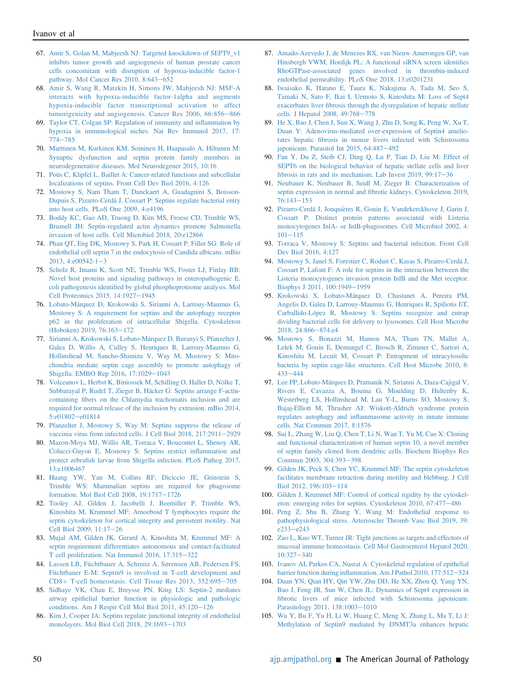- <span id="page-10-0"></span>67. [Amir S, Golan M, Mabjeesh NJ: Targeted knockdown of SEPT9\\_v1](http://refhub.elsevier.com/S0002-9440(20)30450-8/sref67) [inhibits tumor growth and angiogenesis of human prostate cancer](http://refhub.elsevier.com/S0002-9440(20)30450-8/sref67) [cells concomitant with disruption of hypoxia-inducible factor-1](http://refhub.elsevier.com/S0002-9440(20)30450-8/sref67) [pathway. Mol Cancer Res 2010, 8:643](http://refhub.elsevier.com/S0002-9440(20)30450-8/sref67)-[652](http://refhub.elsevier.com/S0002-9440(20)30450-8/sref67)
- <span id="page-10-1"></span>68. [Amir S, Wang R, Matzkin H, Simons JW, Mabjeesh NJ: MSF-A](http://refhub.elsevier.com/S0002-9440(20)30450-8/sref68) [interacts with hypoxia-inducible factor-1alpha and augments](http://refhub.elsevier.com/S0002-9440(20)30450-8/sref68) [hypoxia-inducible factor transcriptional activation to affect](http://refhub.elsevier.com/S0002-9440(20)30450-8/sref68) [tumorigenicity and angiogenesis. Cancer Res 2006, 66:856](http://refhub.elsevier.com/S0002-9440(20)30450-8/sref68)-[866](http://refhub.elsevier.com/S0002-9440(20)30450-8/sref68)
- <span id="page-10-2"></span>69. [Taylor CT, Colgan SP: Regulation of immunity and in](http://refhub.elsevier.com/S0002-9440(20)30450-8/sref69)flammation by [hypoxia in immunological niches. Nat Rev Immunol 2017, 17:](http://refhub.elsevier.com/S0002-9440(20)30450-8/sref69) [774](http://refhub.elsevier.com/S0002-9440(20)30450-8/sref69)-[785](http://refhub.elsevier.com/S0002-9440(20)30450-8/sref69)
- <span id="page-10-3"></span>70. [Marttinen M, Kurkinen KM, Soininen H, Haapasalo A, Hiltunen M:](http://refhub.elsevier.com/S0002-9440(20)30450-8/sref70) [Synaptic dysfunction and septin protein family members in](http://refhub.elsevier.com/S0002-9440(20)30450-8/sref70) [neurodegenerative diseases. Mol Neurodegener 2015, 10:16](http://refhub.elsevier.com/S0002-9440(20)30450-8/sref70)
- <span id="page-10-4"></span>71. [Poüs C, Klipfel L, Baillet A: Cancer-related functions and subcellular](http://refhub.elsevier.com/S0002-9440(20)30450-8/sref71) [localizations of septins. Front Cell Dev Biol 2016, 4:126](http://refhub.elsevier.com/S0002-9440(20)30450-8/sref71)
- <span id="page-10-5"></span>72. [Mostowy S, Nam Tham T, Danckaert A, Guadagnini S, Boisson-](http://refhub.elsevier.com/S0002-9440(20)30450-8/sref72)[Dupuis S, Pizarro-Cerdá J, Cossart P: Septins regulate bacterial entry](http://refhub.elsevier.com/S0002-9440(20)30450-8/sref72) [into host cells. PLoS One 2009, 4:e4196](http://refhub.elsevier.com/S0002-9440(20)30450-8/sref72)
- <span id="page-10-6"></span>73. [Boddy KC, Gao AD, Truong D, Kim MS, Froese CD, Trimble WS,](http://refhub.elsevier.com/S0002-9440(20)30450-8/sref73) [Brumell JH: Septin-regulated actin dynamics promote Salmonella](http://refhub.elsevier.com/S0002-9440(20)30450-8/sref73) [invasion of host cells. Cell Microbiol 2018, 20:e12866](http://refhub.elsevier.com/S0002-9440(20)30450-8/sref73)
- <span id="page-10-7"></span>74. [Phan QT, Eng DK, Mostowy S, Park H, Cossart P, Filler SG: Role of](http://refhub.elsevier.com/S0002-9440(20)30450-8/sref74) [endothelial cell septin 7 in the endocytosis of Candida albicans. mBio](http://refhub.elsevier.com/S0002-9440(20)30450-8/sref74) [2013, 4:e00542-1](http://refhub.elsevier.com/S0002-9440(20)30450-8/sref74)-[3](http://refhub.elsevier.com/S0002-9440(20)30450-8/sref74)
- <span id="page-10-8"></span>75. [Scholz R, Imami K, Scott NE, Trimble WS, Foster LJ, Finlay BB:](http://refhub.elsevier.com/S0002-9440(20)30450-8/sref75) [Novel host proteins and signaling pathways in enteropathogenic E.](http://refhub.elsevier.com/S0002-9440(20)30450-8/sref75) coli pathogenesis identifi[ed by global phosphoproteome analysis. Mol](http://refhub.elsevier.com/S0002-9440(20)30450-8/sref75) [Cell Proteomics 2015, 14:1927](http://refhub.elsevier.com/S0002-9440(20)30450-8/sref75)-[1945](http://refhub.elsevier.com/S0002-9440(20)30450-8/sref75)
- <span id="page-10-9"></span>76. [Lobato-Márquez D, Krokowski S, Sirianni A, Larrouy-Maumus G,](http://refhub.elsevier.com/S0002-9440(20)30450-8/sref76) [Mostowy S: A requirement for septins and the autophagy receptor](http://refhub.elsevier.com/S0002-9440(20)30450-8/sref76) [p62 in the proliferation of intracellular Shigella. Cytoskeleton](http://refhub.elsevier.com/S0002-9440(20)30450-8/sref76) [\(Hoboken\) 2019, 76:163](http://refhub.elsevier.com/S0002-9440(20)30450-8/sref76)-[172](http://refhub.elsevier.com/S0002-9440(20)30450-8/sref76)
- <span id="page-10-10"></span>77. [Sirianni A, Krokowski S, Lobato-Márquez D, Buranyi S, Pfanzelter J,](http://refhub.elsevier.com/S0002-9440(20)30450-8/sref77) [Galea D, Willis A, Culley S, Henriques R, Larrouy-Maumus G,](http://refhub.elsevier.com/S0002-9440(20)30450-8/sref77) [Hollinshead M, Sancho-Shimizu V, Way M, Mostowy S: Mito](http://refhub.elsevier.com/S0002-9440(20)30450-8/sref77)[chondria mediate septin cage assembly to promote autophagy of](http://refhub.elsevier.com/S0002-9440(20)30450-8/sref77) [Shigella. EMBO Rep 2016, 17:1029](http://refhub.elsevier.com/S0002-9440(20)30450-8/sref77)-[1043](http://refhub.elsevier.com/S0002-9440(20)30450-8/sref77)
- <span id="page-10-11"></span>78. [Volceanov L, Herbst K, Biniossek M, Schilling O, Haller D, Nölke T,](http://refhub.elsevier.com/S0002-9440(20)30450-8/sref78) [Subbarayal P, Rudel T, Zieger B, Häcker G: Septins arrange F-actin](http://refhub.elsevier.com/S0002-9440(20)30450-8/sref78)containing fi[bers on the Chlamydia trachomatis inclusion and are](http://refhub.elsevier.com/S0002-9440(20)30450-8/sref78) [required for normal release of the inclusion by extrusion. mBio 2014,](http://refhub.elsevier.com/S0002-9440(20)30450-8/sref78) [5:e01802](http://refhub.elsevier.com/S0002-9440(20)30450-8/sref78)-[e01814](http://refhub.elsevier.com/S0002-9440(20)30450-8/sref78)
- <span id="page-10-12"></span>79. [Pfanzelter J, Mostowy S, Way M: Septins suppress the release of](http://refhub.elsevier.com/S0002-9440(20)30450-8/sref79) [vaccinia virus from infected cells. J Cell Biol 2018, 217:2911](http://refhub.elsevier.com/S0002-9440(20)30450-8/sref79)-[2929](http://refhub.elsevier.com/S0002-9440(20)30450-8/sref79)
- <span id="page-10-13"></span>80. [Mazon-Moya MJ, Willis AR, Torraca V, Boucontet L, Shenoy AR,](http://refhub.elsevier.com/S0002-9440(20)30450-8/sref80) [Colucci-Guyon E, Mostowy S: Septins restrict in](http://refhub.elsevier.com/S0002-9440(20)30450-8/sref80)flammation and protect zebrafi[sh larvae from Shigella infection. PLoS Pathog 2017,](http://refhub.elsevier.com/S0002-9440(20)30450-8/sref80) [13:e1006467](http://refhub.elsevier.com/S0002-9440(20)30450-8/sref80)
- <span id="page-10-14"></span>81. [Huang YW, Yan M, Collins RF, Diciccio JE, Grinstein S,](http://refhub.elsevier.com/S0002-9440(20)30450-8/sref81) [Trimble WS: Mammalian septins are required for phagosome](http://refhub.elsevier.com/S0002-9440(20)30450-8/sref81) [formation. Mol Biol Cell 2008, 19:1717](http://refhub.elsevier.com/S0002-9440(20)30450-8/sref81)-[1726](http://refhub.elsevier.com/S0002-9440(20)30450-8/sref81)
- <span id="page-10-15"></span>82. [Tooley AJ, Gilden J, Jacobelli J, Beemiller P, Trimble WS,](http://refhub.elsevier.com/S0002-9440(20)30450-8/sref82) [Kinoshita M, Krummel MF: Amoeboid T lymphocytes require the](http://refhub.elsevier.com/S0002-9440(20)30450-8/sref82) [septin cytoskeleton for cortical integrity and persistent motility. Nat](http://refhub.elsevier.com/S0002-9440(20)30450-8/sref82) [Cell Biol 2009, 11:17](http://refhub.elsevier.com/S0002-9440(20)30450-8/sref82)-[26](http://refhub.elsevier.com/S0002-9440(20)30450-8/sref82)
- <span id="page-10-16"></span>83. [Mujal AM, Gilden JK, Gerard A, Kinoshita M, Krummel MF: A](http://refhub.elsevier.com/S0002-9440(20)30450-8/sref83) [septin requirement differentiates autonomous and contact-facilitated](http://refhub.elsevier.com/S0002-9440(20)30450-8/sref83) [T cell proliferation. Nat Immunol 2016, 17:315](http://refhub.elsevier.com/S0002-9440(20)30450-8/sref83)-[322](http://refhub.elsevier.com/S0002-9440(20)30450-8/sref83)
- <span id="page-10-17"></span>84. [Lassen LB, Füchtbauer A, Schmitz A, Sørensen AB, Pedersen FS,](http://refhub.elsevier.com/S0002-9440(20)30450-8/sref84) [Füchtbauer E-M: Septin9 is involved in T-cell development and](http://refhub.elsevier.com/S0002-9440(20)30450-8/sref84)  $CD8 + T$  $CD8 + T$ -cell homeostasis. Cell Tissue Res 2013, 352:695-[705](http://refhub.elsevier.com/S0002-9440(20)30450-8/sref84)
- <span id="page-10-18"></span>85. [Sidhaye VK, Chau E, Breysse PN, King LS: Septin-2 mediates](http://refhub.elsevier.com/S0002-9440(20)30450-8/sref85) [airway epithelial barrier function in physiologic and pathologic](http://refhub.elsevier.com/S0002-9440(20)30450-8/sref85) conditions. Am J Respir Cell Mol Biol  $2011$ ,  $45:120-126$  $45:120-126$
- <span id="page-10-19"></span>86. [Kim J, Cooper JA: Septins regulate junctional integrity of endothelial](http://refhub.elsevier.com/S0002-9440(20)30450-8/sref86) [monolayers. Mol Biol Cell 2018, 29:1693](http://refhub.elsevier.com/S0002-9440(20)30450-8/sref86)-[1703](http://refhub.elsevier.com/S0002-9440(20)30450-8/sref86)
- <span id="page-10-20"></span>87. [Amado-Azevedo J, de Menezes RX, van Nieuw Amerongen GP, van](http://refhub.elsevier.com/S0002-9440(20)30450-8/sref87) [Hinsbergh VWM, Hordijk PL: A functional siRNA screen identi](http://refhub.elsevier.com/S0002-9440(20)30450-8/sref87)fies [RhoGTPase-associated genes involved in thrombin-induced](http://refhub.elsevier.com/S0002-9440(20)30450-8/sref87) [endothelial permeability. PLoS One 2018, 13:e0201231](http://refhub.elsevier.com/S0002-9440(20)30450-8/sref87)
- <span id="page-10-21"></span>88. [Iwaisako K, Hatano E, Taura K, Nakajima A, Tada M, Seo S,](http://refhub.elsevier.com/S0002-9440(20)30450-8/sref88) [Tamaki N, Sato F, Ikai I, Uemoto S, Kinoshita M: Loss of Sept4](http://refhub.elsevier.com/S0002-9440(20)30450-8/sref88) exacerbates liver fi[brosis through the dysregulation of hepatic stellate](http://refhub.elsevier.com/S0002-9440(20)30450-8/sref88) [cells. J Hepatol 2008, 49:768](http://refhub.elsevier.com/S0002-9440(20)30450-8/sref88)-[778](http://refhub.elsevier.com/S0002-9440(20)30450-8/sref88)
- <span id="page-10-22"></span>89. [He X, Bao J, Chen J, Sun X, Wang J, Zhu D, Song K, Peng W, Xu T,](http://refhub.elsevier.com/S0002-9440(20)30450-8/sref89) [Duan Y: Adenovirus-mediated over-expression of Septin4 amelio](http://refhub.elsevier.com/S0002-9440(20)30450-8/sref89)rates hepatic fi[brosis in mouse livers infected with Schistosoma](http://refhub.elsevier.com/S0002-9440(20)30450-8/sref89) [japonicum. Parasitol Int 2015, 64:487](http://refhub.elsevier.com/S0002-9440(20)30450-8/sref89)-[492](http://refhub.elsevier.com/S0002-9440(20)30450-8/sref89)
- <span id="page-10-23"></span>90. [Fan Y, Du Z, Steib CJ, Ding Q, Lu P, Tian D, Liu M: Effect of](http://refhub.elsevier.com/S0002-9440(20)30450-8/sref90) [SEPT6 on the biological behavior of hepatic stellate cells and liver](http://refhub.elsevier.com/S0002-9440(20)30450-8/sref90) fibrosis in rats and its mechanism. Lab Invest  $2019$ ,  $99:17-36$  $99:17-36$
- <span id="page-10-24"></span>91. [Neubauer K, Neubauer B, Seidl M, Zieger B: Characterization of](http://refhub.elsevier.com/S0002-9440(20)30450-8/sref91) septin expression in normal and fi[brotic kidneys. Cytoskeleton 2019,](http://refhub.elsevier.com/S0002-9440(20)30450-8/sref91)  $76:143 - 153$  $76:143 - 153$  $76:143 - 153$
- <span id="page-10-25"></span>92. [Pizarro-Cerdá J, Jonquières R, Gouin E, Vandekerckhove J, Garin J,](http://refhub.elsevier.com/S0002-9440(20)30450-8/sref92) [Cossart P: Distinct protein patterns associated with Listeria](http://refhub.elsevier.com/S0002-9440(20)30450-8/sref92) [monocytogenes InlA- or InlB-phagosomes. Cell Microbiol 2002, 4:](http://refhub.elsevier.com/S0002-9440(20)30450-8/sref92)  $101 - 115$  $101 - 115$  $101 - 115$
- <span id="page-10-26"></span>93. [Torraca V, Mostowy S: Septins and bacterial infection. Front Cell](http://refhub.elsevier.com/S0002-9440(20)30450-8/sref93) [Dev Biol 2016, 4:127](http://refhub.elsevier.com/S0002-9440(20)30450-8/sref93)
- <span id="page-10-27"></span>94. [Mostowy S, Janel S, Forestier C, Roduit C, Kasas S, Pizarro-Cerdá J,](http://refhub.elsevier.com/S0002-9440(20)30450-8/sref94) [Cossart P, Lafont F: A role for septins in the interaction between the](http://refhub.elsevier.com/S0002-9440(20)30450-8/sref94) [Listeria monocytogenes invasion protein InlB and the Met receptor.](http://refhub.elsevier.com/S0002-9440(20)30450-8/sref94) [Biophys J 2011, 100:1949](http://refhub.elsevier.com/S0002-9440(20)30450-8/sref94)-[1959](http://refhub.elsevier.com/S0002-9440(20)30450-8/sref94)
- <span id="page-10-28"></span>95. [Krokowski S, Lobato-Márquez D, Chastanet A, Pereira PM,](http://refhub.elsevier.com/S0002-9440(20)30450-8/sref95) [Angelis D, Galea D, Larrouy-Maumus G, Henriques R, Spiliotis ET,](http://refhub.elsevier.com/S0002-9440(20)30450-8/sref95) [Carballido-López R, Mostowy S: Septins recognize and entrap](http://refhub.elsevier.com/S0002-9440(20)30450-8/sref95) [dividing bacterial cells for delivery to lysosomes. Cell Host Microbe](http://refhub.elsevier.com/S0002-9440(20)30450-8/sref95) [2018, 24:866](http://refhub.elsevier.com/S0002-9440(20)30450-8/sref95)-[874.e4](http://refhub.elsevier.com/S0002-9440(20)30450-8/sref95)
- <span id="page-10-29"></span>96. [Mostowy S, Bonazzi M, Hamon MA, Tham TN, Mallet A,](http://refhub.elsevier.com/S0002-9440(20)30450-8/sref96) [Lelek M, Gouin E, Demangel C, Brosch R, Zimmer C, Sartori A,](http://refhub.elsevier.com/S0002-9440(20)30450-8/sref96) [Kinoshita M, Lecuit M, Cossart P: Entrapment of intracytosolic](http://refhub.elsevier.com/S0002-9440(20)30450-8/sref96) [bacteria by septin cage-like structures. Cell Host Microbe 2010, 8:](http://refhub.elsevier.com/S0002-9440(20)30450-8/sref96) [433](http://refhub.elsevier.com/S0002-9440(20)30450-8/sref96)-[444](http://refhub.elsevier.com/S0002-9440(20)30450-8/sref96)
- <span id="page-10-30"></span>97. [Lee PP, Lobato-Márquez D, Pramanik N, Sirianni A, Daza-Cajigal V,](http://refhub.elsevier.com/S0002-9440(20)30450-8/sref97) [Rivers E, Cavazza A, Bouma G, Moulding D, Hultenby K,](http://refhub.elsevier.com/S0002-9440(20)30450-8/sref97) [Westerberg LS, Hollinshead M, Lau Y-L, Burns SO, Mostowy S,](http://refhub.elsevier.com/S0002-9440(20)30450-8/sref97) [Bajaj-Elliott M, Thrasher AJ: Wiskott-Aldrich syndrome protein](http://refhub.elsevier.com/S0002-9440(20)30450-8/sref97) regulates autophagy and infl[ammasome activity in innate immune](http://refhub.elsevier.com/S0002-9440(20)30450-8/sref97) [cells. Nat Commun 2017, 8:1576](http://refhub.elsevier.com/S0002-9440(20)30450-8/sref97)
- <span id="page-10-31"></span>98. [Sui L, Zhang W, Liu Q, Chen T, Li N, Wan T, Yu M, Cao X: Cloning](http://refhub.elsevier.com/S0002-9440(20)30450-8/sref98) [and functional characterization of human septin 10, a novel member](http://refhub.elsevier.com/S0002-9440(20)30450-8/sref98) [of septin family cloned from dendritic cells. Biochem Biophys Res](http://refhub.elsevier.com/S0002-9440(20)30450-8/sref98) [Commun 2003, 304:393](http://refhub.elsevier.com/S0002-9440(20)30450-8/sref98)-[398](http://refhub.elsevier.com/S0002-9440(20)30450-8/sref98)
- <span id="page-10-32"></span>99. [Gilden JK, Peck S, Chen YC, Krummel MF: The septin cytoskeleton](http://refhub.elsevier.com/S0002-9440(20)30450-8/sref99) [facilitates membrane retraction during motility and blebbing. J Cell](http://refhub.elsevier.com/S0002-9440(20)30450-8/sref99) [Biol 2012, 196:103](http://refhub.elsevier.com/S0002-9440(20)30450-8/sref99)-[114](http://refhub.elsevier.com/S0002-9440(20)30450-8/sref99)
- <span id="page-10-33"></span>100. [Gilden J, Krummel MF: Control of cortical rigidity by the cytoskel](http://refhub.elsevier.com/S0002-9440(20)30450-8/sref100)eton: emerging roles for septins. Cytoskeleton  $2010$ ,  $67:477-486$  $67:477-486$
- <span id="page-10-34"></span>101. [Peng Z, Shu B, Zhang Y, Wang M: Endothelial response to](http://refhub.elsevier.com/S0002-9440(20)30450-8/sref101) [pathophysiological stress. Arterioscler Thromb Vasc Biol 2019, 39:](http://refhub.elsevier.com/S0002-9440(20)30450-8/sref101)  $e^{233} - e^{243}$
- <span id="page-10-35"></span>102. [Zuo L, Kuo WT, Turner JR: Tight junctions as targets and effectors of](http://refhub.elsevier.com/S0002-9440(20)30450-8/sref102) [mucosal immune homeostasis. Cell Mol Gastroenterol Hepatol 2020,](http://refhub.elsevier.com/S0002-9440(20)30450-8/sref102)  $10:327 - 340$  $10:327 - 340$  $10:327 - 340$
- <span id="page-10-36"></span>103. [Ivanov AI, Parkos CA, Nusrat A: Cytoskeletal regulation of epithelial](http://refhub.elsevier.com/S0002-9440(20)30450-8/sref103) barrier function during infl[ammation. Am J Pathol 2010, 177:512](http://refhub.elsevier.com/S0002-9440(20)30450-8/sref103)-[524](http://refhub.elsevier.com/S0002-9440(20)30450-8/sref103)
- <span id="page-10-37"></span>104. [Duan YN, Qian HY, Qin YW, Zhu DD, He XX, Zhou Q, Yang YN,](http://refhub.elsevier.com/S0002-9440(20)30450-8/sref104) [Bao J, Feng JR, Sun W, Chen JL: Dynamics of Sept4 expression in](http://refhub.elsevier.com/S0002-9440(20)30450-8/sref104) fi[brotic livers of mice infected with Schistosoma japonicum.](http://refhub.elsevier.com/S0002-9440(20)30450-8/sref104) [Parasitology 2011, 138:1003](http://refhub.elsevier.com/S0002-9440(20)30450-8/sref104)-[1010](http://refhub.elsevier.com/S0002-9440(20)30450-8/sref104)
- <span id="page-10-38"></span>105. [Wu Y, Bu F, Yu H, Li W, Huang C, Meng X, Zhang L, Ma T, Li J:](http://refhub.elsevier.com/S0002-9440(20)30450-8/sref105) [Methylation of Septin9 mediated by DNMT3a enhances hepatic](http://refhub.elsevier.com/S0002-9440(20)30450-8/sref105)